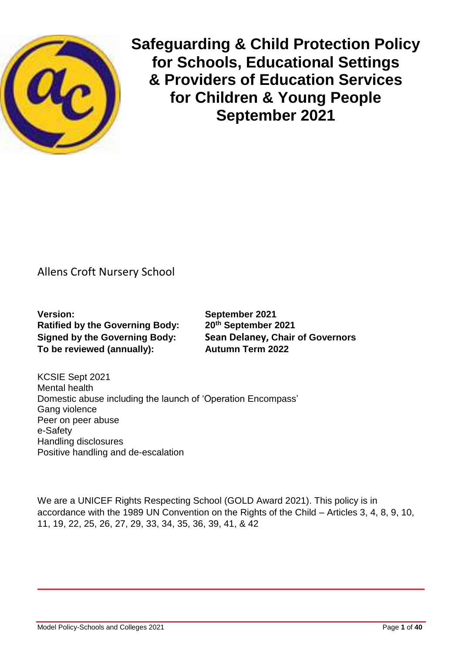

**Safeguarding & Child Protection Policy for Schools, Educational Settings & Providers of Education Services for Children & Young People September 2021**

# Allens Croft Nursery School

**Version: September 2021 Ratified by the Governing Body: 20th September 2021 To be reviewed (annually): Autumn Term 2022**

**Signed by the Governing Body: Sean Delaney, Chair of Governors**

KCSIE Sept 2021 Mental health Domestic abuse including the launch of 'Operation Encompass' Gang violence Peer on peer abuse e-Safety Handling disclosures Positive handling and de-escalation

We are a UNICEF Rights Respecting School (GOLD Award 2021). This policy is in accordance with the 1989 UN Convention on the Rights of the Child – Articles 3, 4, 8, 9, 10, 11, 19, 22, 25, 26, 27, 29, 33, 34, 35, 36, 39, 41, & 42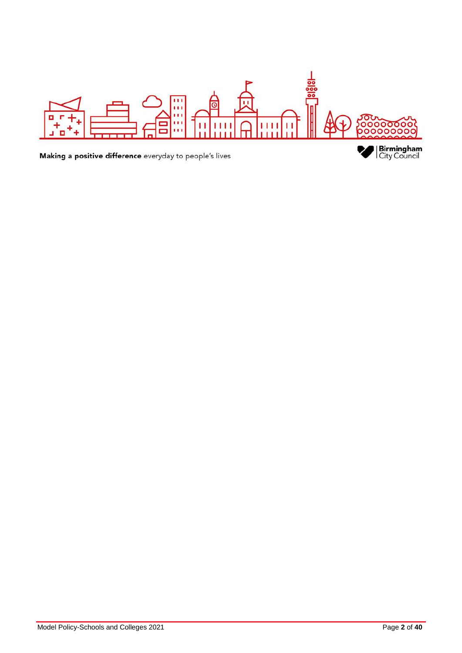

Making a positive difference everyday to people's lives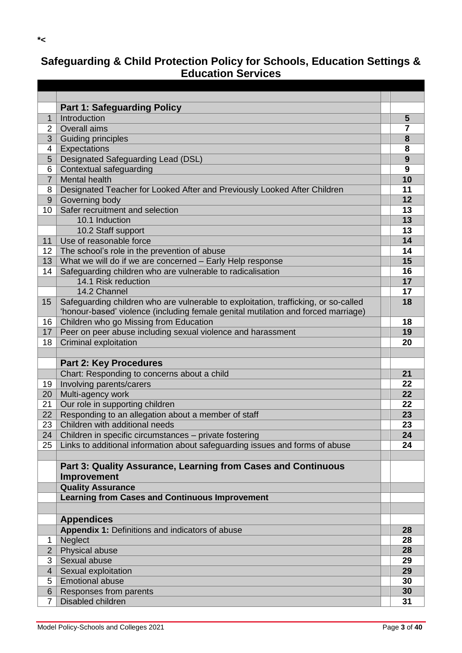# **Safeguarding & Child Protection Policy for Schools, Education Settings & Education Services**

|                | <b>Part 1: Safeguarding Policy</b>                                                  |                |
|----------------|-------------------------------------------------------------------------------------|----------------|
| $\mathbf 1$    | Introduction                                                                        | 5              |
| 2              | Overall aims                                                                        | $\overline{7}$ |
| 3              | Guiding principles                                                                  | 8              |
| 4              | Expectations                                                                        | 8              |
| 5              | Designated Safeguarding Lead (DSL)                                                  | 9              |
| 6              | Contextual safeguarding                                                             | 9              |
| $\overline{7}$ | <b>Mental health</b>                                                                | 10             |
| 8              | Designated Teacher for Looked After and Previously Looked After Children            | 11             |
| 9              | Governing body                                                                      | 12             |
| 10             | Safer recruitment and selection                                                     | 13             |
|                | 10.1 Induction                                                                      | 13             |
|                | 10.2 Staff support                                                                  | 13             |
| 11             | Use of reasonable force                                                             | 14             |
| 12             | The school's role in the prevention of abuse                                        | 14             |
| 13             | What we will do if we are concerned - Early Help response                           | 15             |
| 14             | Safeguarding children who are vulnerable to radicalisation                          | 16             |
|                | 14.1 Risk reduction                                                                 | 17             |
|                | 14.2 Channel                                                                        | 17             |
| 15             | Safeguarding children who are vulnerable to exploitation, trafficking, or so-called | 18             |
|                | 'honour-based' violence (including female genital mutilation and forced marriage)   |                |
| 16             | Children who go Missing from Education                                              | 18             |
| 17             | Peer on peer abuse including sexual violence and harassment                         | 19             |
| 18             | Criminal exploitation                                                               | 20             |
|                |                                                                                     |                |
|                | <b>Part 2: Key Procedures</b>                                                       |                |
|                | Chart: Responding to concerns about a child                                         | 21             |
| 19             | Involving parents/carers                                                            | 22             |
| 20             | Multi-agency work                                                                   | 22             |
| 21             | Our role in supporting children                                                     | 22             |
| 22             | Responding to an allegation about a member of staff                                 | 23             |
| 23             | Children with additional needs                                                      | 23             |
| 24             | Children in specific circumstances - private fostering                              | 24             |
| 25             | Links to additional information about safeguarding issues and forms of abuse        | 24             |
|                |                                                                                     |                |
|                | Part 3: Quality Assurance, Learning from Cases and Continuous                       |                |
|                | Improvement                                                                         |                |
|                | <b>Quality Assurance</b>                                                            |                |
|                | <b>Learning from Cases and Continuous Improvement</b>                               |                |
|                |                                                                                     |                |
|                |                                                                                     |                |
|                | <b>Appendices</b>                                                                   |                |
|                | Appendix 1: Definitions and indicators of abuse                                     | 28             |
| 1              | Neglect                                                                             | 28             |
| $\overline{2}$ | Physical abuse                                                                      | 28             |
| 3              | Sexual abuse                                                                        | 29             |
| $\overline{4}$ | Sexual exploitation                                                                 | 29             |
| 5              | <b>Emotional abuse</b>                                                              | 30             |
| 6              | Responses from parents                                                              | 30             |
| $\overline{7}$ | Disabled children                                                                   | 31             |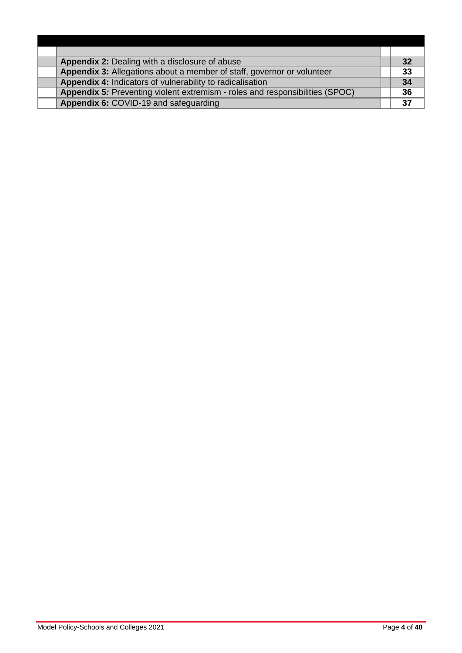| <b>Appendix 2: Dealing with a disclosure of abuse</b>                        | 32 |
|------------------------------------------------------------------------------|----|
| Appendix 3: Allegations about a member of staff, governor or volunteer       | 33 |
| Appendix 4: Indicators of vulnerability to radicalisation                    | 34 |
| Appendix 5: Preventing violent extremism - roles and responsibilities (SPOC) | 36 |
| Appendix 6: COVID-19 and safeguarding                                        | 37 |
|                                                                              |    |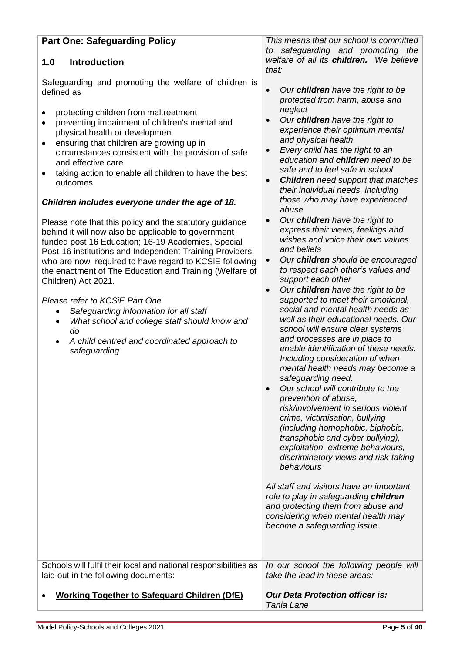| <b>Part One: Safeguarding Policy</b>                                                                                                                                                                                                                                                                                                                                                                                                                                                                                                                                                                     | This means that our school is committed<br>safeguarding and promoting the<br>to                                                                                                                                                                                                                                                                                                                                                                                                                                                                                                                                                                                                                                                                                                                                                                                                                                                                                                                                                                                                                                                                           |
|----------------------------------------------------------------------------------------------------------------------------------------------------------------------------------------------------------------------------------------------------------------------------------------------------------------------------------------------------------------------------------------------------------------------------------------------------------------------------------------------------------------------------------------------------------------------------------------------------------|-----------------------------------------------------------------------------------------------------------------------------------------------------------------------------------------------------------------------------------------------------------------------------------------------------------------------------------------------------------------------------------------------------------------------------------------------------------------------------------------------------------------------------------------------------------------------------------------------------------------------------------------------------------------------------------------------------------------------------------------------------------------------------------------------------------------------------------------------------------------------------------------------------------------------------------------------------------------------------------------------------------------------------------------------------------------------------------------------------------------------------------------------------------|
| <b>Introduction</b><br>1.0                                                                                                                                                                                                                                                                                                                                                                                                                                                                                                                                                                               | welfare of all its children. We believe<br>that:                                                                                                                                                                                                                                                                                                                                                                                                                                                                                                                                                                                                                                                                                                                                                                                                                                                                                                                                                                                                                                                                                                          |
| Safeguarding and promoting the welfare of children is<br>defined as<br>protecting children from maltreatment<br>preventing impairment of children's mental and<br>physical health or development<br>ensuring that children are growing up in<br>٠<br>circumstances consistent with the provision of safe<br>and effective care<br>taking action to enable all children to have the best<br>٠<br>outcomes<br>Children includes everyone under the age of 18.                                                                                                                                              | Our children have the right to be<br>protected from harm, abuse and<br>neglect<br>Our children have the right to<br>$\bullet$<br>experience their optimum mental<br>and physical health<br>Every child has the right to an<br>$\bullet$<br>education and children need to be<br>safe and to feel safe in school<br><b>Children</b> need support that matches<br>$\bullet$<br>their individual needs, including<br>those who may have experienced<br>abuse                                                                                                                                                                                                                                                                                                                                                                                                                                                                                                                                                                                                                                                                                                 |
| Please note that this policy and the statutory guidance<br>behind it will now also be applicable to government<br>funded post 16 Education; 16-19 Academies, Special<br>Post-16 institutions and Independent Training Providers,<br>who are now required to have regard to KCSiE following<br>the enactment of The Education and Training (Welfare of<br>Children) Act 2021.<br>Please refer to KCSiE Part One<br>Safeguarding information for all staff<br>What school and college staff should know and<br>$\bullet$<br>do<br>A child centred and coordinated approach to<br>$\bullet$<br>safeguarding | Our children have the right to<br>$\bullet$<br>express their views, feelings and<br>wishes and voice their own values<br>and beliefs<br>Our children should be encouraged<br>$\bullet$<br>to respect each other's values and<br>support each other<br>Our children have the right to be<br>$\bullet$<br>supported to meet their emotional,<br>social and mental health needs as<br>well as their educational needs. Our<br>school will ensure clear systems<br>and processes are in place to<br>enable identification of these needs.<br>Including consideration of when<br>mental health needs may become a<br>safeguarding need.<br>Our school will contribute to the<br>$\bullet$<br>prevention of abuse,<br>risk/involvement in serious violent<br>crime, victimisation, bullying<br>(including homophobic, biphobic,<br>transphobic and cyber bullying),<br>exploitation, extreme behaviours,<br>discriminatory views and risk-taking<br>behaviours<br>All staff and visitors have an important<br>role to play in safeguarding children<br>and protecting them from abuse and<br>considering when mental health may<br>become a safeguarding issue. |
| Schools will fulfil their local and national responsibilities as<br>laid out in the following documents:                                                                                                                                                                                                                                                                                                                                                                                                                                                                                                 | In our school the following people will<br>take the lead in these areas:                                                                                                                                                                                                                                                                                                                                                                                                                                                                                                                                                                                                                                                                                                                                                                                                                                                                                                                                                                                                                                                                                  |
| <b>Working Together to Safeguard Children (DfE)</b>                                                                                                                                                                                                                                                                                                                                                                                                                                                                                                                                                      | <b>Our Data Protection officer is:</b><br>Tania Lane                                                                                                                                                                                                                                                                                                                                                                                                                                                                                                                                                                                                                                                                                                                                                                                                                                                                                                                                                                                                                                                                                                      |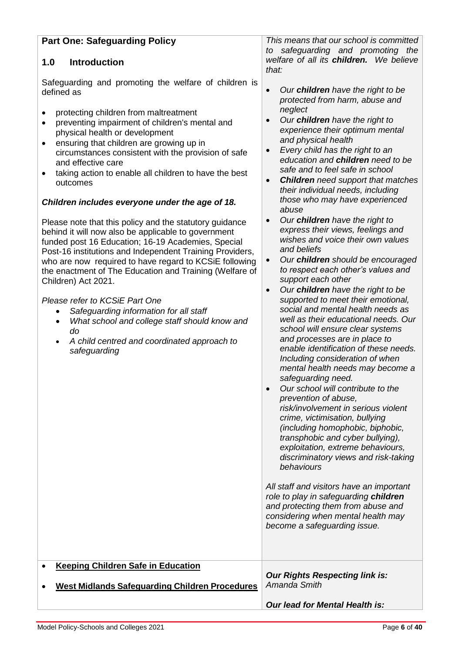| <b>Part One: Safeguarding Policy</b>                                                                                                                                                                                                                                                                                                                                                                                                                                                                                                                                                                                                                                                                                                                                                                                                                                                                                                                                                                                                                                            | This means that our school is committed                                                                                                                                                                                                                                                                                                                                                                                                                                                                                                                                                                                                                                                                                                                                                                                                                                                                                                                                                                                                                                                                                                                                                                                                                                                                                                                                                                                                                                                                                                                                                                   |
|---------------------------------------------------------------------------------------------------------------------------------------------------------------------------------------------------------------------------------------------------------------------------------------------------------------------------------------------------------------------------------------------------------------------------------------------------------------------------------------------------------------------------------------------------------------------------------------------------------------------------------------------------------------------------------------------------------------------------------------------------------------------------------------------------------------------------------------------------------------------------------------------------------------------------------------------------------------------------------------------------------------------------------------------------------------------------------|-----------------------------------------------------------------------------------------------------------------------------------------------------------------------------------------------------------------------------------------------------------------------------------------------------------------------------------------------------------------------------------------------------------------------------------------------------------------------------------------------------------------------------------------------------------------------------------------------------------------------------------------------------------------------------------------------------------------------------------------------------------------------------------------------------------------------------------------------------------------------------------------------------------------------------------------------------------------------------------------------------------------------------------------------------------------------------------------------------------------------------------------------------------------------------------------------------------------------------------------------------------------------------------------------------------------------------------------------------------------------------------------------------------------------------------------------------------------------------------------------------------------------------------------------------------------------------------------------------------|
| <b>Introduction</b><br>1.0                                                                                                                                                                                                                                                                                                                                                                                                                                                                                                                                                                                                                                                                                                                                                                                                                                                                                                                                                                                                                                                      | safeguarding and promoting the<br>to<br>welfare of all its children. We believe<br>that:                                                                                                                                                                                                                                                                                                                                                                                                                                                                                                                                                                                                                                                                                                                                                                                                                                                                                                                                                                                                                                                                                                                                                                                                                                                                                                                                                                                                                                                                                                                  |
| Safeguarding and promoting the welfare of children is<br>defined as<br>protecting children from maltreatment<br>preventing impairment of children's mental and<br>$\bullet$<br>physical health or development<br>ensuring that children are growing up in<br>٠<br>circumstances consistent with the provision of safe<br>and effective care<br>taking action to enable all children to have the best<br>outcomes<br>Children includes everyone under the age of 18.<br>Please note that this policy and the statutory guidance<br>behind it will now also be applicable to government<br>funded post 16 Education; 16-19 Academies, Special<br>Post-16 institutions and Independent Training Providers,<br>who are now required to have regard to KCSiE following<br>the enactment of The Education and Training (Welfare of<br>Children) Act 2021.<br>Please refer to KCSiE Part One<br>Safeguarding information for all staff<br>What school and college staff should know and<br>$\bullet$<br>do<br>A child centred and coordinated approach to<br>$\bullet$<br>safeguarding | Our children have the right to be<br>protected from harm, abuse and<br>neglect<br>Our children have the right to<br>experience their optimum mental<br>and physical health<br>Every child has the right to an<br>$\bullet$<br>education and children need to be<br>safe and to feel safe in school<br><b>Children</b> need support that matches<br>$\bullet$<br>their individual needs, including<br>those who may have experienced<br>abuse<br>Our children have the right to<br>$\bullet$<br>express their views, feelings and<br>wishes and voice their own values<br>and beliefs<br>Our children should be encouraged<br>$\bullet$<br>to respect each other's values and<br>support each other<br>Our children have the right to be<br>$\bullet$<br>supported to meet their emotional,<br>social and mental health needs as<br>well as their educational needs. Our<br>school will ensure clear systems<br>and processes are in place to<br>enable identification of these needs.<br>Including consideration of when<br>mental health needs may become a<br>safeguarding need.<br>Our school will contribute to the<br>$\bullet$<br>prevention of abuse,<br>risk/involvement in serious violent<br>crime, victimisation, bullying<br>(including homophobic, biphobic,<br>transphobic and cyber bullying),<br>exploitation, extreme behaviours,<br>discriminatory views and risk-taking<br>behaviours<br>All staff and visitors have an important<br>role to play in safeguarding children<br>and protecting them from abuse and<br>considering when mental health may<br>become a safeguarding issue. |
| <b>Keeping Children Safe in Education</b><br><b>West Midlands Safeguarding Children Procedures</b>                                                                                                                                                                                                                                                                                                                                                                                                                                                                                                                                                                                                                                                                                                                                                                                                                                                                                                                                                                              | <b>Our Rights Respecting link is:</b><br>Amanda Smith<br><b>Our lead for Mental Health is:</b>                                                                                                                                                                                                                                                                                                                                                                                                                                                                                                                                                                                                                                                                                                                                                                                                                                                                                                                                                                                                                                                                                                                                                                                                                                                                                                                                                                                                                                                                                                            |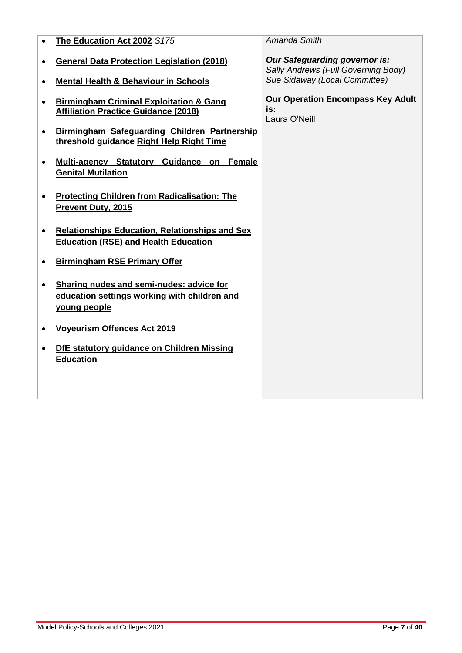| $\bullet$ | The Education Act 2002 S175                                                                              | Amanda Smith                                                                |
|-----------|----------------------------------------------------------------------------------------------------------|-----------------------------------------------------------------------------|
| ٠         | <b>General Data Protection Legislation (2018)</b>                                                        | <b>Our Safeguarding governor is:</b><br>Sally Andrews (Full Governing Body) |
| $\bullet$ | <b>Mental Health &amp; Behaviour in Schools</b>                                                          | Sue Sidaway (Local Committee)                                               |
|           | <b>Birmingham Criminal Exploitation &amp; Gang</b><br><b>Affiliation Practice Guidance (2018)</b>        | <b>Our Operation Encompass Key Adult</b><br>is:<br>Laura O'Neill            |
| $\bullet$ | Birmingham Safeguarding Children Partnership<br>threshold guidance Right Help Right Time                 |                                                                             |
| $\bullet$ | Guidance on<br><b>Female</b><br><b>Multi-agency Statutory</b><br><b>Genital Mutilation</b>               |                                                                             |
|           | <b>Protecting Children from Radicalisation: The</b><br>Prevent Duty, 2015                                |                                                                             |
| $\bullet$ | <b>Relationships Education, Relationships and Sex</b><br><b>Education (RSE) and Health Education</b>     |                                                                             |
|           | <b>Birmingham RSE Primary Offer</b>                                                                      |                                                                             |
|           | Sharing nudes and semi-nudes: advice for<br>education settings working with children and<br>young people |                                                                             |
| ٠         | <b>Voyeurism Offences Act 2019</b>                                                                       |                                                                             |
|           | DfE statutory guidance on Children Missing<br><b>Education</b>                                           |                                                                             |
|           |                                                                                                          |                                                                             |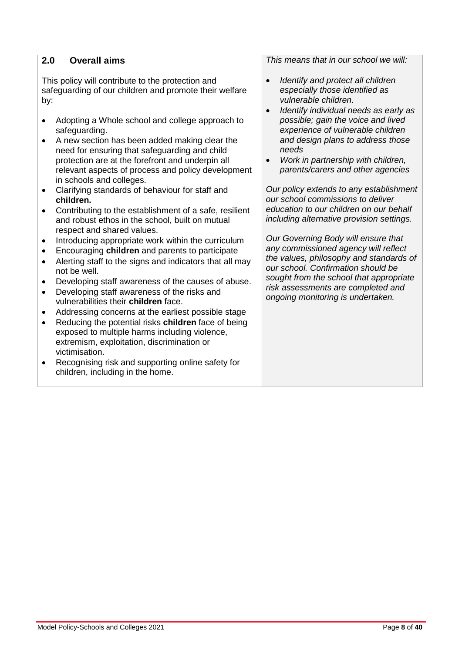## **2.0 Overall aims**

This policy will contribute to the protection and safeguarding of our children and promote their welfare by:

- Adopting a Whole school and college approach to safeguarding.
- A new section has been added making clear the need for ensuring that safeguarding and child protection are at the forefront and underpin all relevant aspects of process and policy development in schools and colleges.
- Clarifying standards of behaviour for staff and **children.**
- Contributing to the establishment of a safe, resilient and robust ethos in the school, built on mutual respect and shared values.
- Introducing appropriate work within the curriculum
- Encouraging **children** and parents to participate
- Alerting staff to the signs and indicators that all may not be well.
- Developing staff awareness of the causes of abuse.
- Developing staff awareness of the risks and vulnerabilities their **children** face.
- Addressing concerns at the earliest possible stage
- Reducing the potential risks **children** face of being exposed to multiple harms including violence, extremism, exploitation, discrimination or victimisation.
- Recognising risk and supporting online safety for children, including in the home.

*This means that in our school we will:*

- *Identify and protect all children especially those identified as vulnerable children.*
- *Identify individual needs as early as possible; gain the voice and lived experience of vulnerable children and design plans to address those needs*
- *Work in partnership with children, parents/carers and other agencies*

*Our policy extends to any establishment our school commissions to deliver education to our children on our behalf including alternative provision settings.*

*Our Governing Body will ensure that any commissioned agency will reflect the values, philosophy and standards of our school. Confirmation should be sought from the school that appropriate risk assessments are completed and ongoing monitoring is undertaken.*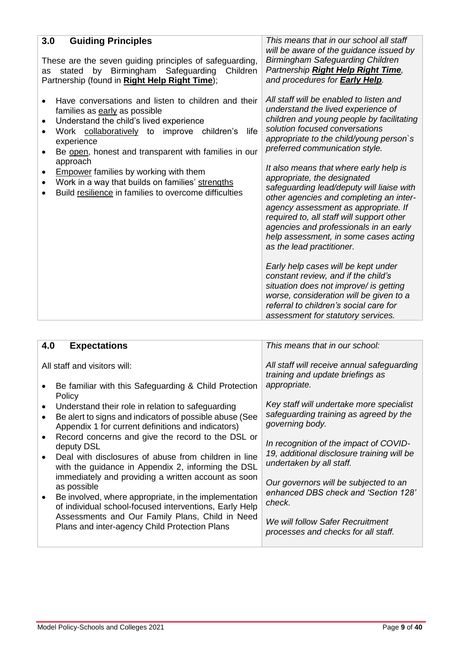| 3.0<br><b>Guiding Principles</b><br>These are the seven guiding principles of safeguarding,<br>by<br>Birmingham<br>Safeguarding<br>stated<br>Children<br>as<br>Partnership (found in Right Help Right Time);                                                                                                                                                                                                                                                                                   | This means that in our school all staff<br>will be aware of the guidance issued by<br><b>Birmingham Safeguarding Children</b><br>Partnership Right Help Right Time,<br>and procedures for <b>Early Help</b> .                                                                                                                                                                                                                                                                                                                                                                                                                                                                                                                                                                                                                                                      |
|------------------------------------------------------------------------------------------------------------------------------------------------------------------------------------------------------------------------------------------------------------------------------------------------------------------------------------------------------------------------------------------------------------------------------------------------------------------------------------------------|--------------------------------------------------------------------------------------------------------------------------------------------------------------------------------------------------------------------------------------------------------------------------------------------------------------------------------------------------------------------------------------------------------------------------------------------------------------------------------------------------------------------------------------------------------------------------------------------------------------------------------------------------------------------------------------------------------------------------------------------------------------------------------------------------------------------------------------------------------------------|
| Have conversations and listen to children and their<br>families as early as possible<br>Understand the child's lived experience<br>$\bullet$<br>Work collaboratively to<br>improve<br>life<br>children's<br>experience<br>Be open, honest and transparent with families in our<br>$\bullet$<br>approach<br><b>Empower families by working with them</b><br>$\bullet$<br>Work in a way that builds on families' strengths<br>$\bullet$<br>Build resilience in families to overcome difficulties | All staff will be enabled to listen and<br>understand the lived experience of<br>children and young people by facilitating<br>solution focused conversations<br>appropriate to the child/young person's<br>preferred communication style.<br>It also means that where early help is<br>appropriate, the designated<br>safeguarding lead/deputy will liaise with<br>other agencies and completing an inter-<br>agency assessment as appropriate. If<br>required to, all staff will support other<br>agencies and professionals in an early<br>help assessment, in some cases acting<br>as the lead practitioner.<br>Early help cases will be kept under<br>constant review, and if the child's<br>situation does not improve/ is getting<br>worse, consideration will be given to a<br>referral to children's social care for<br>assessment for statutory services. |

| 4.0 | <b>Expectations</b>                                                                                                                                                | This means that in our school:                                                                        |
|-----|--------------------------------------------------------------------------------------------------------------------------------------------------------------------|-------------------------------------------------------------------------------------------------------|
|     | All staff and visitors will:                                                                                                                                       | All staff will receive annual safeguarding<br>training and update briefings as                        |
|     | Be familiar with this Safeguarding & Child Protection<br>Policy                                                                                                    | appropriate.                                                                                          |
|     | Understand their role in relation to safeguarding<br>Be alert to signs and indicators of possible abuse (See<br>Appendix 1 for current definitions and indicators) | Key staff will undertake more specialist<br>safeguarding training as agreed by the<br>governing body. |
|     | Record concerns and give the record to the DSL or<br>deputy DSL<br>Deal with disclosures of abuse from children in line                                            | In recognition of the impact of COVID-<br>19, additional disclosure training will be                  |
|     | with the guidance in Appendix 2, informing the DSL                                                                                                                 | undertaken by all staff.                                                                              |
|     | immediately and providing a written account as soon<br>as possible                                                                                                 | Our governors will be subjected to an<br>enhanced DBS check and 'Section 128'                         |
|     | Be involved, where appropriate, in the implementation<br>of individual school-focused interventions, Early Help                                                    | check.                                                                                                |
|     | Assessments and Our Family Plans, Child in Need<br>Plans and inter-agency Child Protection Plans                                                                   | We will follow Safer Recruitment<br>processes and checks for all staff.                               |
|     |                                                                                                                                                                    |                                                                                                       |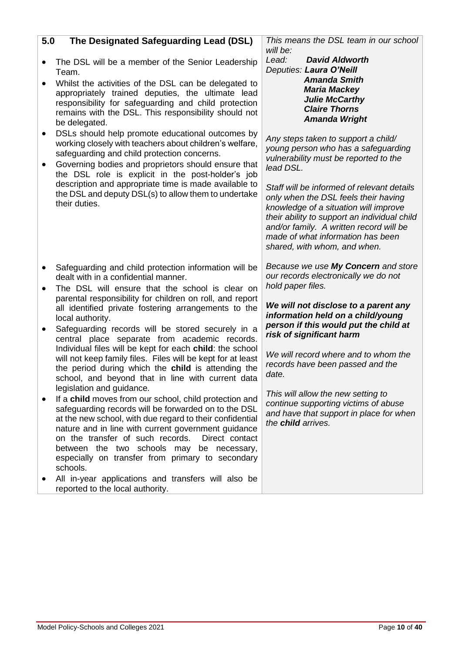# **5.0 The Designated Safeguarding Lead (DSL)**

- The DSL will be a member of the Senior Leadership Team.
- Whilst the activities of the DSL can be delegated to appropriately trained deputies, the ultimate lead responsibility for safeguarding and child protection remains with the DSL. This responsibility should not be delegated.
- DSLs should help promote educational outcomes by working closely with teachers about children's welfare, safeguarding and child protection concerns.
- Governing bodies and proprietors should ensure that the DSL role is explicit in the post-holder's job description and appropriate time is made available to the DSL and deputy DSL(s) to allow them to undertake their duties.
- Safeguarding and child protection information will be dealt with in a confidential manner.
- The DSL will ensure that the school is clear on parental responsibility for children on roll, and report all identified private fostering arrangements to the local authority.
- Safeguarding records will be stored securely in a central place separate from academic records. Individual files will be kept for each **child**: the school will not keep family files. Files will be kept for at least the period during which the **child** is attending the school, and beyond that in line with current data legislation and guidance.
- If a **child** moves from our school, child protection and safeguarding records will be forwarded on to the DSL at the new school, with due regard to their confidential nature and in line with current government guidance on the transfer of such records. Direct contact between the two schools may be necessary, especially on transfer from primary to secondary schools.
- All in-year applications and transfers will also be reported to the local authority.

*This means the DSL team in our school will be:*

*Lead: David Aldworth Deputies: Laura O'Neill Amanda Smith Maria Mackey Julie McCarthy Claire Thorns Amanda Wright*

*Any steps taken to support a child/ young person who has a safeguarding vulnerability must be reported to the lead DSL.*

*Staff will be informed of relevant details only when the DSL feels their having knowledge of a situation will improve their ability to support an individual child and/or family. A written record will be made of what information has been shared, with whom, and when.* 

*Because we use My Concern and store our records electronically we do not hold paper files.* 

*We will not disclose to a parent any information held on a child/young person if this would put the child at risk of significant harm* 

*We will record where and to whom the records have been passed and the date.* 

*This will allow the new setting to continue supporting victims of abuse and have that support in place for when the child arrives.*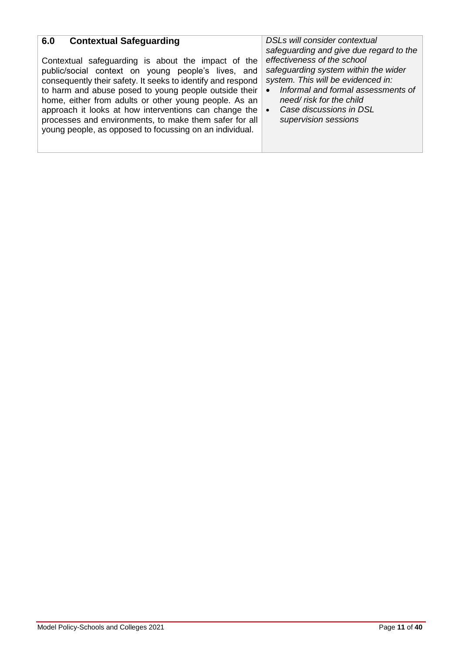| <b>Contextual Safeguarding</b><br>6.0<br>Contextual safeguarding is about the impact of the<br>public/social context on young people's lives, and<br>consequently their safety. It seeks to identify and respond<br>to harm and abuse posed to young people outside their<br>home, either from adults or other young people. As an<br>approach it looks at how interventions can change the<br>processes and environments, to make them safer for all<br>young people, as opposed to focussing on an individual. | DSLs will consider contextual<br>safeguarding and give due regard to the<br>effectiveness of the school<br>safeguarding system within the wider<br>system. This will be evidenced in:<br>Informal and formal assessments of<br>need/risk for the child<br>Case discussions in DSL<br>supervision sessions |
|------------------------------------------------------------------------------------------------------------------------------------------------------------------------------------------------------------------------------------------------------------------------------------------------------------------------------------------------------------------------------------------------------------------------------------------------------------------------------------------------------------------|-----------------------------------------------------------------------------------------------------------------------------------------------------------------------------------------------------------------------------------------------------------------------------------------------------------|
|------------------------------------------------------------------------------------------------------------------------------------------------------------------------------------------------------------------------------------------------------------------------------------------------------------------------------------------------------------------------------------------------------------------------------------------------------------------------------------------------------------------|-----------------------------------------------------------------------------------------------------------------------------------------------------------------------------------------------------------------------------------------------------------------------------------------------------------|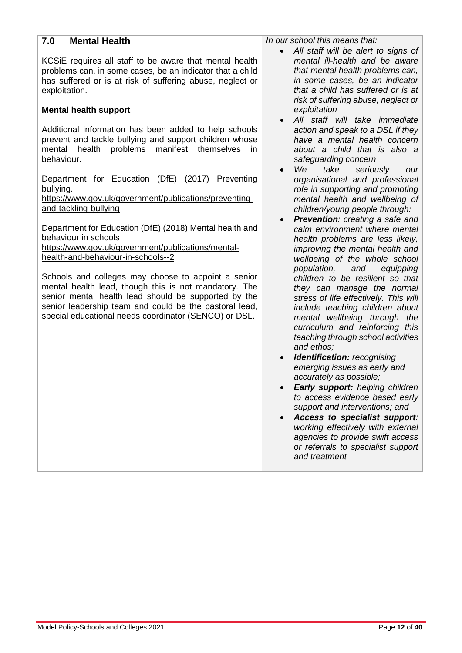| <b>Mental Health</b><br>7.0                                                                                                                                                                                                                                                             | In our school this means that:<br>All staff will be alert to signs of<br>$\bullet$                                                                                                                                                                                |
|-----------------------------------------------------------------------------------------------------------------------------------------------------------------------------------------------------------------------------------------------------------------------------------------|-------------------------------------------------------------------------------------------------------------------------------------------------------------------------------------------------------------------------------------------------------------------|
| KCSIE requires all staff to be aware that mental health<br>problems can, in some cases, be an indicator that a child<br>has suffered or is at risk of suffering abuse, neglect or<br>exploitation.                                                                                      | mental ill-health and be aware<br>that mental health problems can,<br>in some cases, be an indicator<br>that a child has suffered or is at<br>risk of suffering abuse, neglect or                                                                                 |
| <b>Mental health support</b>                                                                                                                                                                                                                                                            | exploitation<br>All staff will take immediate<br>$\bullet$                                                                                                                                                                                                        |
| Additional information has been added to help schools<br>prevent and tackle bullying and support children whose<br>problems<br>manifest themselves<br>health<br>mental<br>in<br>behaviour.                                                                                              | action and speak to a DSL if they<br>have a mental health concern<br>about a child that is also a<br>safeguarding concern<br>We<br>take<br>seriously<br>$\bullet$<br>our                                                                                          |
| Department for Education (DfE) (2017) Preventing<br>bullying.<br>https://www.gov.uk/government/publications/preventing-<br>and-tackling-bullying                                                                                                                                        | organisational and professional<br>role in supporting and promoting<br>mental health and wellbeing of<br>children/young people through:<br><b>Prevention:</b> creating a safe and<br>$\bullet$                                                                    |
| Department for Education (DfE) (2018) Mental health and<br>behaviour in schools<br>https://www.gov.uk/government/publications/mental-<br>health-and-behaviour-in-schools--2                                                                                                             | calm environment where mental<br>health problems are less likely,<br>improving the mental health and<br>wellbeing of the whole school<br>population,<br>and<br>equipping                                                                                          |
| Schools and colleges may choose to appoint a senior<br>mental health lead, though this is not mandatory. The<br>senior mental health lead should be supported by the<br>senior leadership team and could be the pastoral lead,<br>special educational needs coordinator (SENCO) or DSL. | children to be resilient so that<br>they can manage the normal<br>stress of life effectively. This will<br>include teaching children about<br>mental wellbeing through the<br>curriculum and reinforcing this<br>teaching through school activities<br>and ethos; |
|                                                                                                                                                                                                                                                                                         | <b>Identification:</b> recognising<br>$\bullet$<br>emerging issues as early and<br>accurately as possible;                                                                                                                                                        |
|                                                                                                                                                                                                                                                                                         | Early support: helping children<br>to access evidence based early<br>support and interventions; and<br>Access to specialist support:                                                                                                                              |
|                                                                                                                                                                                                                                                                                         | working effectively with external<br>agencies to provide swift access<br>or referrals to specialist support<br>and treatment                                                                                                                                      |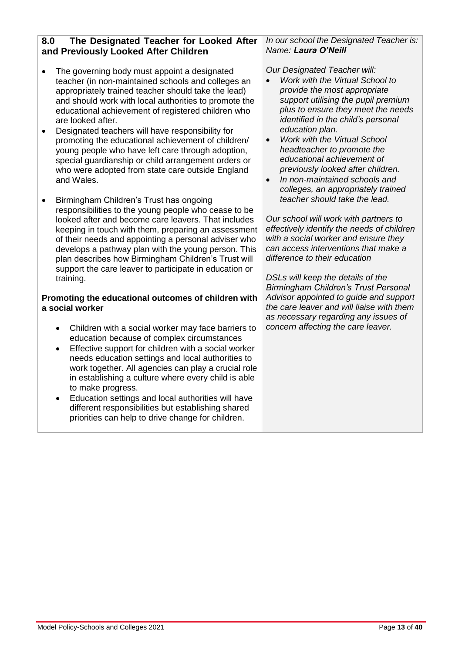#### **8.0 The Designated Teacher for Looked After and Previously Looked After Children**

- The governing body must appoint a designated teacher (in non-maintained schools and colleges an appropriately trained teacher should take the lead) and should work with local authorities to promote the educational achievement of registered children who are looked after.
- Designated teachers will have responsibility for promoting the educational achievement of children/ young people who have left care through adoption, special guardianship or child arrangement orders or who were adopted from state care outside England and Wales.
- Birmingham Children's Trust has ongoing responsibilities to the young people who cease to be looked after and become care leavers. That includes keeping in touch with them, preparing an assessment of their needs and appointing a personal adviser who develops a pathway plan with the young person. This plan describes how Birmingham Children's Trust will support the care leaver to participate in education or training.

#### **Promoting the educational outcomes of children with a social worker**

- Children with a social worker may face barriers to education because of complex circumstances
- Effective support for children with a social worker needs education settings and local authorities to work together. All agencies can play a crucial role in establishing a culture where every child is able to make progress.
- Education settings and local authorities will have different responsibilities but establishing shared priorities can help to drive change for children.

#### *In our school the Designated Teacher is: Name: Laura O'Neill*

*Our Designated Teacher will:*

- *Work with the Virtual School to provide the most appropriate support utilising the pupil premium plus to ensure they meet the needs identified in the child's personal education plan.*
- *Work with the Virtual School headteacher to promote the educational achievement of previously looked after children.*
- *In non-maintained schools and colleges, an appropriately trained teacher should take the lead.*

*Our school will work with partners to effectively identify the needs of children with a social worker and ensure they can access interventions that make a difference to their education*

*DSLs will keep the details of the Birmingham Children's Trust Personal Advisor appointed to guide and support the care leaver and will liaise with them as necessary regarding any issues of concern affecting the care leaver.*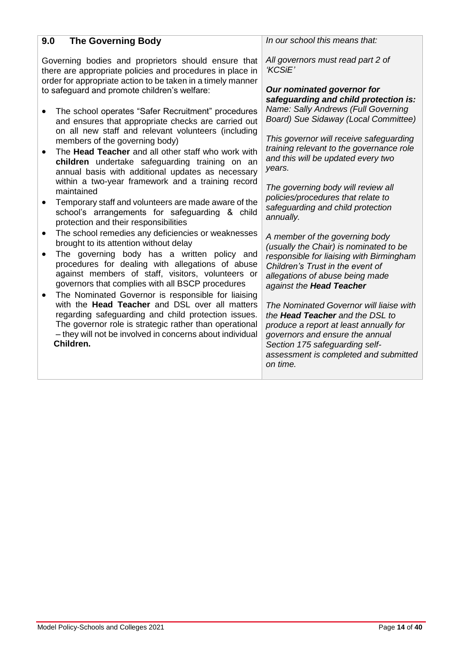| 9.0<br><b>The Governing Body</b>                                                                                                                                                                                                                                                                         | In our school this means that:                                                                                                                                                                                                                                                    |
|----------------------------------------------------------------------------------------------------------------------------------------------------------------------------------------------------------------------------------------------------------------------------------------------------------|-----------------------------------------------------------------------------------------------------------------------------------------------------------------------------------------------------------------------------------------------------------------------------------|
| Governing bodies and proprietors should ensure that<br>there are appropriate policies and procedures in place in<br>order for appropriate action to be taken in a timely manner<br>to safeguard and promote children's welfare:                                                                          | All governors must read part 2 of<br>'KCSiE'<br>Our nominated governor for<br>safeguarding and child protection is:                                                                                                                                                               |
| The school operates "Safer Recruitment" procedures<br>and ensures that appropriate checks are carried out                                                                                                                                                                                                | Name: Sally Andrews (Full Governing<br>Board) Sue Sidaway (Local Committee)                                                                                                                                                                                                       |
| on all new staff and relevant volunteers (including<br>members of the governing body)<br>The Head Teacher and all other staff who work with<br>children undertake safeguarding training on an<br>annual basis with additional updates as necessary                                                       | This governor will receive safeguarding<br>training relevant to the governance role<br>and this will be updated every two<br>years.                                                                                                                                               |
| within a two-year framework and a training record<br>maintained<br>Temporary staff and volunteers are made aware of the<br>school's arrangements for safeguarding & child<br>protection and their responsibilities                                                                                       | The governing body will review all<br>policies/procedures that relate to<br>safeguarding and child protection<br>annually.                                                                                                                                                        |
| The school remedies any deficiencies or weaknesses<br>brought to its attention without delay<br>The governing body has a written policy and<br>procedures for dealing with allegations of abuse<br>against members of staff, visitors, volunteers or<br>governors that complies with all BSCP procedures | A member of the governing body<br>(usually the Chair) is nominated to be<br>responsible for liaising with Birmingham<br>Children's Trust in the event of<br>allegations of abuse being made                                                                                       |
| The Nominated Governor is responsible for liaising<br>with the Head Teacher and DSL over all matters<br>regarding safeguarding and child protection issues.<br>The governor role is strategic rather than operational<br>- they will not be involved in concerns about individual<br>Children.           | against the <b>Head Teacher</b><br>The Nominated Governor will liaise with<br>the Head Teacher and the DSL to<br>produce a report at least annually for<br>governors and ensure the annual<br>Section 175 safeguarding self-<br>assessment is completed and submitted<br>on time. |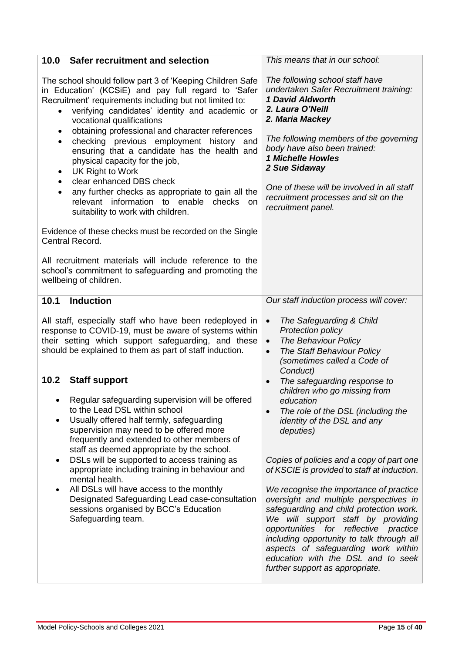| <b>Safer recruitment and selection</b><br>10.0                                                                                                                                                                                                                                                                                                                                                                                                                                                                                                                                                                                                                                                                  | This means that in our school:                                                                                                                                                                                                                                                                                                                                                                                                                                                                                                                                                                                                                                |
|-----------------------------------------------------------------------------------------------------------------------------------------------------------------------------------------------------------------------------------------------------------------------------------------------------------------------------------------------------------------------------------------------------------------------------------------------------------------------------------------------------------------------------------------------------------------------------------------------------------------------------------------------------------------------------------------------------------------|---------------------------------------------------------------------------------------------------------------------------------------------------------------------------------------------------------------------------------------------------------------------------------------------------------------------------------------------------------------------------------------------------------------------------------------------------------------------------------------------------------------------------------------------------------------------------------------------------------------------------------------------------------------|
| The school should follow part 3 of 'Keeping Children Safe<br>in Education' (KCSiE) and pay full regard to 'Safer<br>Recruitment' requirements including but not limited to:<br>verifying candidates' identity and academic or<br>$\bullet$<br>vocational qualifications<br>obtaining professional and character references<br>$\bullet$<br>checking previous employment history and<br>$\bullet$<br>ensuring that a candidate has the health and<br>physical capacity for the job,<br>UK Right to Work<br>٠<br>clear enhanced DBS check<br>$\bullet$<br>any further checks as appropriate to gain all the<br>$\bullet$<br>relevant information to enable<br>checks<br>on.<br>suitability to work with children. | The following school staff have<br>undertaken Safer Recruitment training:<br>1 David Aldworth<br>2. Laura O'Neill<br>2. Maria Mackey<br>The following members of the governing<br>body have also been trained:<br><b>1 Michelle Howles</b><br>2 Sue Sidaway<br>One of these will be involved in all staff<br>recruitment processes and sit on the<br>recruitment panel.                                                                                                                                                                                                                                                                                       |
| Evidence of these checks must be recorded on the Single<br>Central Record.                                                                                                                                                                                                                                                                                                                                                                                                                                                                                                                                                                                                                                      |                                                                                                                                                                                                                                                                                                                                                                                                                                                                                                                                                                                                                                                               |
| All recruitment materials will include reference to the<br>school's commitment to safeguarding and promoting the<br>wellbeing of children.                                                                                                                                                                                                                                                                                                                                                                                                                                                                                                                                                                      |                                                                                                                                                                                                                                                                                                                                                                                                                                                                                                                                                                                                                                                               |
| <b>Induction</b><br>10.1                                                                                                                                                                                                                                                                                                                                                                                                                                                                                                                                                                                                                                                                                        | Our staff induction process will cover:                                                                                                                                                                                                                                                                                                                                                                                                                                                                                                                                                                                                                       |
| All staff, especially staff who have been redeployed in<br>response to COVID-19, must be aware of systems within<br>their setting which support safeguarding, and these<br>should be explained to them as part of staff induction.                                                                                                                                                                                                                                                                                                                                                                                                                                                                              | The Safeguarding & Child<br>$\bullet$<br>Protection policy<br>The Behaviour Policy<br>$\bullet$<br><b>The Staff Behaviour Policy</b><br>$\bullet$<br>(sometimes called a Code of<br>Conduct)                                                                                                                                                                                                                                                                                                                                                                                                                                                                  |
| 10.2<br><b>Staff support</b><br>Regular safeguarding supervision will be offered<br>to the Lead DSL within school<br>Usually offered half termly, safeguarding<br>supervision may need to be offered more<br>frequently and extended to other members of<br>staff as deemed appropriate by the school.<br>DSLs will be supported to access training as<br>$\bullet$<br>appropriate including training in behaviour and<br>mental health.<br>All DSLs will have access to the monthly<br>$\bullet$<br>Designated Safeguarding Lead case-consultation<br>sessions organised by BCC's Education<br>Safeguarding team.                                                                                              | The safeguarding response to<br>$\bullet$<br>children who go missing from<br>education<br>The role of the DSL (including the<br>$\bullet$<br>identity of the DSL and any<br>deputies)<br>Copies of policies and a copy of part one<br>of KSCIE is provided to staff at induction.<br>We recognise the importance of practice<br>oversight and multiple perspectives in<br>safeguarding and child protection work.<br>We will support staff by providing<br>opportunities for reflective practice<br>including opportunity to talk through all<br>aspects of safeguarding work within<br>education with the DSL and to seek<br>further support as appropriate. |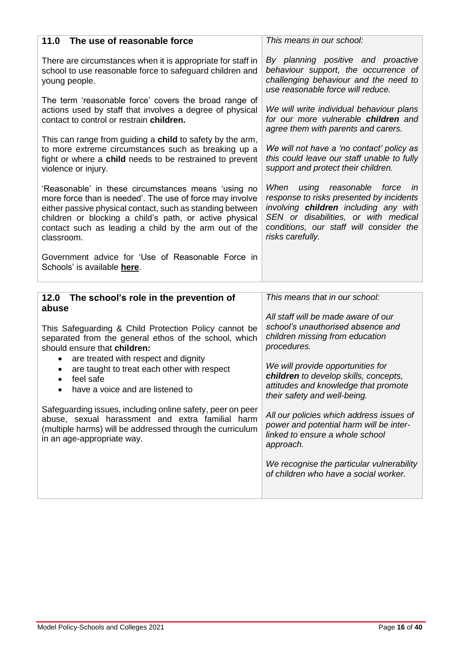| 11.0 The use of reasonable force                                                                                                                                                                                                                                                                                                                                                                                                                                                                                                                                         | This means in our school:                                                                                                                                                                                                                                                                                                                                                                                                                                                                                                                       |
|--------------------------------------------------------------------------------------------------------------------------------------------------------------------------------------------------------------------------------------------------------------------------------------------------------------------------------------------------------------------------------------------------------------------------------------------------------------------------------------------------------------------------------------------------------------------------|-------------------------------------------------------------------------------------------------------------------------------------------------------------------------------------------------------------------------------------------------------------------------------------------------------------------------------------------------------------------------------------------------------------------------------------------------------------------------------------------------------------------------------------------------|
| There are circumstances when it is appropriate for staff in<br>school to use reasonable force to safeguard children and<br>young people.                                                                                                                                                                                                                                                                                                                                                                                                                                 | By planning positive and proactive<br>behaviour support, the occurrence of<br>challenging behaviour and the need to<br>use reasonable force will reduce.                                                                                                                                                                                                                                                                                                                                                                                        |
| The term 'reasonable force' covers the broad range of<br>actions used by staff that involves a degree of physical<br>contact to control or restrain children.                                                                                                                                                                                                                                                                                                                                                                                                            | We will write individual behaviour plans<br>for our more vulnerable children and<br>agree them with parents and carers.                                                                                                                                                                                                                                                                                                                                                                                                                         |
| This can range from guiding a child to safety by the arm,<br>to more extreme circumstances such as breaking up a<br>fight or where a child needs to be restrained to prevent<br>violence or injury.                                                                                                                                                                                                                                                                                                                                                                      | We will not have a 'no contact' policy as<br>this could leave our staff unable to fully<br>support and protect their children.                                                                                                                                                                                                                                                                                                                                                                                                                  |
| 'Reasonable' in these circumstances means 'using no<br>more force than is needed'. The use of force may involve<br>either passive physical contact, such as standing between<br>children or blocking a child's path, or active physical<br>contact such as leading a child by the arm out of the<br>classroom.                                                                                                                                                                                                                                                           | When<br>using reasonable force<br>$\mathsf{I}$<br>response to risks presented by incidents<br>involving children including any with<br>SEN or disabilities, or with medical<br>conditions, our staff will consider the<br>risks carefully.                                                                                                                                                                                                                                                                                                      |
| Government advice for 'Use of Reasonable Force in                                                                                                                                                                                                                                                                                                                                                                                                                                                                                                                        |                                                                                                                                                                                                                                                                                                                                                                                                                                                                                                                                                 |
| Schools' is available here.                                                                                                                                                                                                                                                                                                                                                                                                                                                                                                                                              |                                                                                                                                                                                                                                                                                                                                                                                                                                                                                                                                                 |
| 12.0 The school's role in the prevention of<br>abuse<br>This Safeguarding & Child Protection Policy cannot be<br>separated from the general ethos of the school, which<br>should ensure that children:<br>are treated with respect and dignity<br>$\bullet$<br>are taught to treat each other with respect<br>feel safe<br>have a voice and are listened to<br>Safeguarding issues, including online safety, peer on peer<br>abuse, sexual harassment and extra familial harm<br>(multiple harms) will be addressed through the curriculum<br>in an age-appropriate way. | This means that in our school:<br>All staff will be made aware of our<br>school's unauthorised absence and<br>children missing from education<br>procedures.<br>We will provide opportunities for<br>children to develop skills, concepts,<br>attitudes and knowledge that promote<br>their safety and well-being.<br>All our policies which address issues of<br>power and potential harm will be inter-<br>linked to ensure a whole school<br>approach.<br>We recognise the particular vulnerability<br>of children who have a social worker. |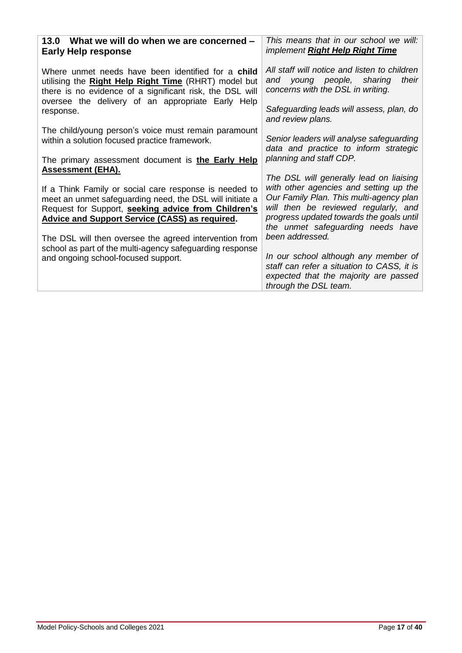| 13.0 What we will do when we are concerned -<br><b>Early Help response</b>                                                                                                                                                         | This means that in our school we will:<br>implement Right Help Right Time                                                                                                                                                                                                |
|------------------------------------------------------------------------------------------------------------------------------------------------------------------------------------------------------------------------------------|--------------------------------------------------------------------------------------------------------------------------------------------------------------------------------------------------------------------------------------------------------------------------|
| Where unmet needs have been identified for a <b>child</b><br>utilising the Right Help Right Time (RHRT) model but<br>there is no evidence of a significant risk, the DSL will<br>oversee the delivery of an appropriate Early Help | All staff will notice and listen to children<br>and young people, sharing<br>their<br>concerns with the DSL in writing.                                                                                                                                                  |
| response.                                                                                                                                                                                                                          | Safeguarding leads will assess, plan, do<br>and review plans.                                                                                                                                                                                                            |
| The child/young person's voice must remain paramount<br>within a solution focused practice framework.                                                                                                                              | Senior leaders will analyse safeguarding<br>data and practice to inform strategic                                                                                                                                                                                        |
| The primary assessment document is <b>the Early Help</b><br><b>Assessment (EHA).</b>                                                                                                                                               | planning and staff CDP.                                                                                                                                                                                                                                                  |
| If a Think Family or social care response is needed to<br>meet an unmet safeguarding need, the DSL will initiate a<br>Request for Support, seeking advice from Children's<br><b>Advice and Support Service (CASS) as required.</b> | The DSL will generally lead on liaising<br>with other agencies and setting up the<br>Our Family Plan. This multi-agency plan<br>will then be reviewed regularly, and<br>progress updated towards the goals until<br>the unmet safeguarding needs have<br>been addressed. |
| The DSL will then oversee the agreed intervention from<br>school as part of the multi-agency safeguarding response<br>and ongoing school-focused support.                                                                          | In our school although any member of<br>staff can refer a situation to CASS, it is<br>expected that the majority are passed<br>through the DSL team.                                                                                                                     |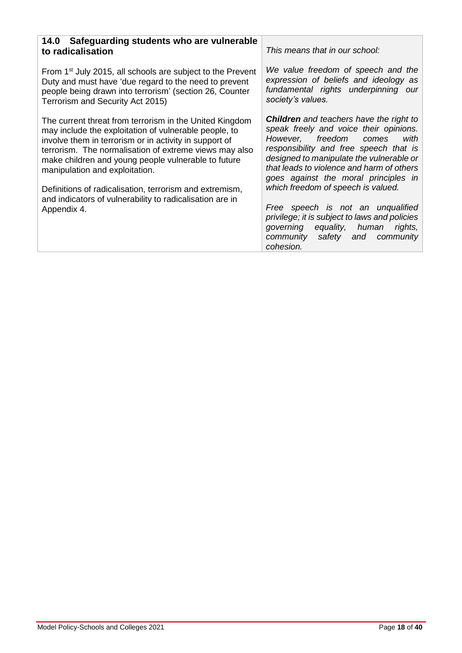| 14.0 Safeguarding students who are vulnerable<br>to radicalisation                                                                                                                                                                                                                                                                                                                                                                                                  | This means that in our school:                                                                                                                                                                                                                                                                                                                                                                                                                                                                                        |
|---------------------------------------------------------------------------------------------------------------------------------------------------------------------------------------------------------------------------------------------------------------------------------------------------------------------------------------------------------------------------------------------------------------------------------------------------------------------|-----------------------------------------------------------------------------------------------------------------------------------------------------------------------------------------------------------------------------------------------------------------------------------------------------------------------------------------------------------------------------------------------------------------------------------------------------------------------------------------------------------------------|
| From 1 <sup>st</sup> July 2015, all schools are subject to the Prevent<br>Duty and must have 'due regard to the need to prevent<br>people being drawn into terrorism' (section 26, Counter<br>Terrorism and Security Act 2015)                                                                                                                                                                                                                                      | We value freedom of speech and the<br>expression of beliefs and ideology as<br>fundamental rights underpinning our<br>society's values.                                                                                                                                                                                                                                                                                                                                                                               |
| The current threat from terrorism in the United Kingdom<br>may include the exploitation of vulnerable people, to<br>involve them in terrorism or in activity in support of<br>terrorism. The normalisation of extreme views may also<br>make children and young people vulnerable to future<br>manipulation and exploitation.<br>Definitions of radicalisation, terrorism and extremism,<br>and indicators of vulnerability to radicalisation are in<br>Appendix 4. | <b>Children</b> and teachers have the right to<br>speak freely and voice their opinions.<br>with<br>However, freedom comes<br>responsibility and free speech that is<br>designed to manipulate the vulnerable or<br>that leads to violence and harm of others<br>goes against the moral principles in<br>which freedom of speech is valued.<br>Free speech is not an unqualified<br>privilege; it is subject to laws and policies<br>governing equality, human rights,<br>community safety and community<br>cohesion. |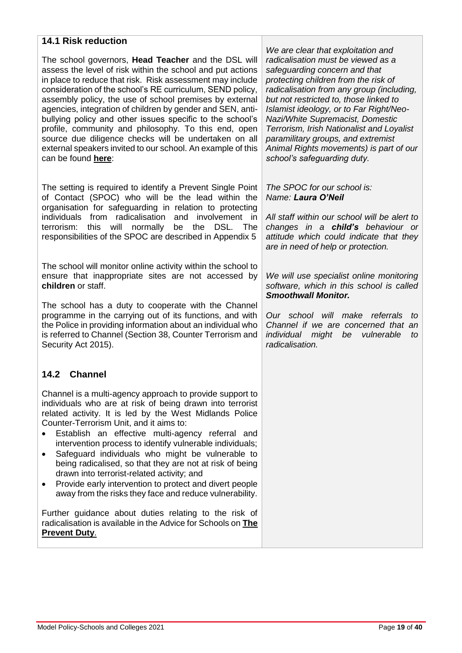#### **14.1 Risk reduction**

The school governors, **Head Teacher** and the DSL will assess the level of risk within the school and put actions in place to reduce that risk. Risk assessment may include consideration of the school's RE curriculum, SEND policy, assembly policy, the use of school premises by external agencies, integration of children by gender and SEN, antibullying policy and other issues specific to the school's profile, community and philosophy. To this end, open source due diligence checks will be undertaken on all external speakers invited to our school. An example of this can be found **[here](https://www.birmingham.gov.uk/downloads/download/773/the_prevent_duty)**:

The setting is required to identify a Prevent Single Point of Contact (SPOC) who will be the lead within the organisation for safeguarding in relation to protecting individuals from radicalisation and involvement in terrorism: this will normally be the DSL. The responsibilities of the SPOC are described in Appendix 5

The school will monitor online activity within the school to ensure that inappropriate sites are not accessed by **children** or staff.

The school has a duty to cooperate with the Channel programme in the carrying out of its functions, and with the Police in providing information about an individual who is referred to Channel (Section 38, Counter Terrorism and Security Act 2015).

#### **14.2 Channel**

Channel is a multi-agency approach to provide support to individuals who are at risk of being drawn into terrorist related activity. It is led by the West Midlands Police Counter-Terrorism Unit, and it aims to:

- Establish an effective multi-agency referral and intervention process to identify vulnerable individuals;
- Safeguard individuals who might be vulnerable to being radicalised, so that they are not at risk of being drawn into terrorist-related activity; and
- Provide early intervention to protect and divert people away from the risks they face and reduce vulnerability.

Further guidance about duties relating to the risk of radicalisation is available in the Advice for Schools on **[The](https://www.gov.uk/government/publications/protecting-children-from-radicalisation-the-prevent-duty)  [Prevent Duty](https://www.gov.uk/government/publications/protecting-children-from-radicalisation-the-prevent-duty)**.

*We are clear that exploitation and radicalisation must be viewed as a safeguarding concern and that protecting children from the risk of radicalisation from any group (including, but not restricted to, those linked to Islamist ideology, or to Far Right/Neo-Nazi/White Supremacist, Domestic Terrorism, Irish Nationalist and Loyalist paramilitary groups, and extremist Animal Rights movements) is part of our school's safeguarding duty.*

#### *The SPOC for our school is: Name: Laura O'Neil*

*All staff within our school will be alert to changes in a child's behaviour or attitude which could indicate that they are in need of help or protection.*

*We will use specialist online monitoring software, which in this school is called Smoothwall Monitor.*

*Our school will make referrals to Channel if we are concerned that an individual might be vulnerable to radicalisation.*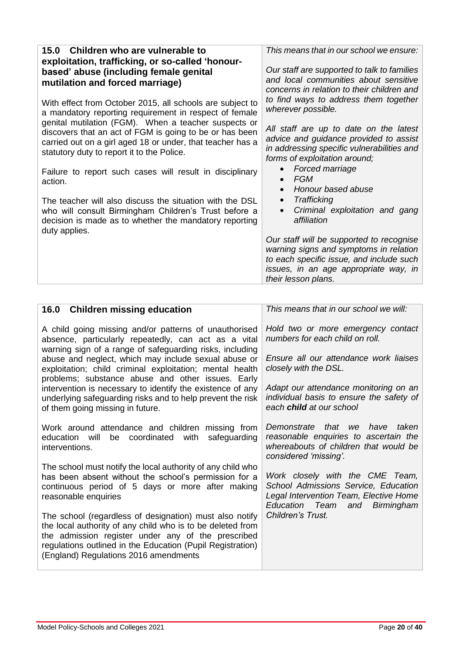| 15.0 Children who are vulnerable to<br>exploitation, trafficking, or so-called 'honour-                                                                                                                                     | This means that in our school we ensure:                                                                                                                                                       |
|-----------------------------------------------------------------------------------------------------------------------------------------------------------------------------------------------------------------------------|------------------------------------------------------------------------------------------------------------------------------------------------------------------------------------------------|
| based' abuse (including female genital<br>mutilation and forced marriage)                                                                                                                                                   | Our staff are supported to talk to families<br>and local communities about sensitive<br>concerns in relation to their children and                                                             |
| With effect from October 2015, all schools are subject to<br>a mandatory reporting requirement in respect of female                                                                                                         | to find ways to address them together<br>wherever possible.                                                                                                                                    |
| genital mutilation (FGM). When a teacher suspects or<br>discovers that an act of FGM is going to be or has been<br>carried out on a girl aged 18 or under, that teacher has a<br>statutory duty to report it to the Police. | All staff are up to date on the latest<br>advice and guidance provided to assist<br>in addressing specific vulnerabilities and<br>forms of exploitation around;                                |
| Failure to report such cases will result in disciplinary<br>action.                                                                                                                                                         | Forced marriage<br><b>FGM</b><br>$\bullet$<br>Honour based abuse                                                                                                                               |
| The teacher will also discuss the situation with the DSL<br>who will consult Birmingham Children's Trust before a<br>decision is made as to whether the mandatory reporting<br>duty applies.                                | Trafficking<br>$\bullet$<br>Criminal exploitation and gang<br>$\bullet$<br>affiliation                                                                                                         |
|                                                                                                                                                                                                                             | Our staff will be supported to recognise<br>warning signs and symptoms in relation<br>to each specific issue, and include such<br>issues, in an age appropriate way, in<br>their lesson plans. |

| This means that in our school we will:                                                                                                                      |
|-------------------------------------------------------------------------------------------------------------------------------------------------------------|
| Hold two or more emergency contact<br>numbers for each child on roll.                                                                                       |
| Ensure all our attendance work liaises<br>closely with the DSL.                                                                                             |
| Adapt our attendance monitoring on an<br>individual basis to ensure the safety of<br>each <b>child</b> at our school                                        |
| that<br>taken<br>Demonstrate<br>we<br>have<br>reasonable enquiries to ascertain the<br>whereabouts of children that would be<br>considered 'missing'.       |
| Work closely with the CME Team,<br>School Admissions Service, Education<br>Legal Intervention Team, Elective Home<br>Education<br>Team<br>and<br>Birmingham |
| Children's Trust.                                                                                                                                           |
|                                                                                                                                                             |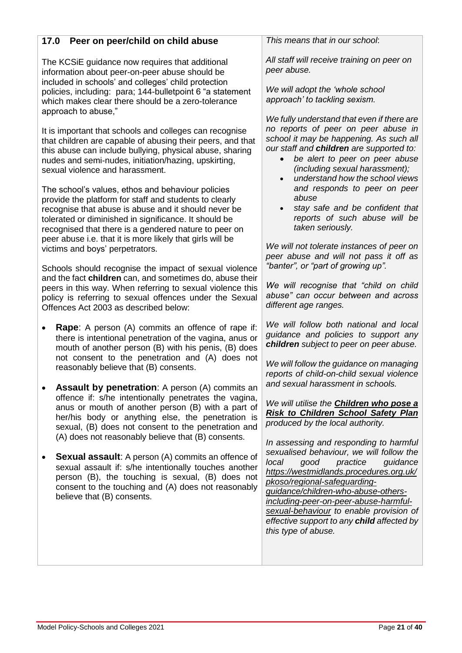# **17.0 Peer on peer/child on child abuse**

The KCSiE guidance now requires that additional information about peer-on-peer abuse should be included in schools' and colleges' child protection policies, including: para; 144-bulletpoint 6 "a statement which makes clear there should be a zero-tolerance approach to abuse,"

It is important that schools and colleges can recognise that children are capable of abusing their peers, and that this abuse can include bullying, physical abuse, sharing nudes and semi-nudes, initiation/hazing, upskirting, sexual violence and harassment.

The school's values, ethos and behaviour policies provide the platform for staff and students to clearly recognise that abuse is abuse and it should never be tolerated or diminished in significance. It should be recognised that there is a gendered nature to peer on peer abuse i.e. that it is more likely that girls will be victims and boys' perpetrators.

Schools should recognise the impact of sexual violence and the fact **children** can, and sometimes do, abuse their peers in this way. When referring to sexual violence this policy is referring to sexual offences under the Sexual Offences Act 2003 as described below:

- **Rape**: A person (A) commits an offence of rape if: there is intentional penetration of the vagina, anus or mouth of another person (B) with his penis, (B) does not consent to the penetration and (A) does not reasonably believe that (B) consents.
- **Assault by penetration**: A person (A) commits an offence if: s/he intentionally penetrates the vagina, anus or mouth of another person (B) with a part of her/his body or anything else, the penetration is sexual, (B) does not consent to the penetration and (A) does not reasonably believe that (B) consents.
- **Sexual assault**: A person (A) commits an offence of sexual assault if: s/he intentionally touches another person (B), the touching is sexual, (B) does not consent to the touching and (A) does not reasonably believe that (B) consents.

*This means that in our school*:

*All staff will receive training on peer on peer abuse.*

*We will adopt the 'whole school approach' to tackling sexism.*

*We fully understand that even if there are no reports of peer on peer abuse in school it may be happening. As such all our staff and children are supported to:* 

- *be alert to peer on peer abuse (including sexual harassment);*
- *understand how the school views and responds to peer on peer abuse*
- *stay safe and be confident that reports of such abuse will be taken seriously.*

*We will not tolerate instances of peer on peer abuse and will not pass it off as "banter", or "part of growing up".* 

*We will recognise that "child on child abuse" can occur between and across different age ranges.*

*We will follow both national and local guidance and policies to support any children subject to peer on peer abuse.*

*We will follow the guidance on managing reports of child-on-child sexual violence and sexual harassment in schools.*

*We will utilise the [Children who pose a](https://www.birmingham.gov.uk/downloads/file/9504/children_who_pose_a_risk_to_children)  [Risk to Children School Safety Plan](https://www.birmingham.gov.uk/downloads/file/9504/children_who_pose_a_risk_to_children) produced by the local authority.*

*In assessing and responding to harmful sexualised behaviour, we will follow the local good practice guidance [https://westmidlands.procedures.org.uk/](https://westmidlands.procedures.org.uk/pkoso/regional-safeguarding-guidance/children-who-abuse-others-including-peer-on-peer-abuse-harmful-sexual-behaviour) [pkoso/regional-safeguarding](https://westmidlands.procedures.org.uk/pkoso/regional-safeguarding-guidance/children-who-abuse-others-including-peer-on-peer-abuse-harmful-sexual-behaviour)[guidance/children-who-abuse-others](https://westmidlands.procedures.org.uk/pkoso/regional-safeguarding-guidance/children-who-abuse-others-including-peer-on-peer-abuse-harmful-sexual-behaviour)[including-peer-on-peer-abuse-harmful](https://westmidlands.procedures.org.uk/pkoso/regional-safeguarding-guidance/children-who-abuse-others-including-peer-on-peer-abuse-harmful-sexual-behaviour)[sexual-behaviour](https://westmidlands.procedures.org.uk/pkoso/regional-safeguarding-guidance/children-who-abuse-others-including-peer-on-peer-abuse-harmful-sexual-behaviour) to enable provision of effective support to any child affected by this type of abuse.*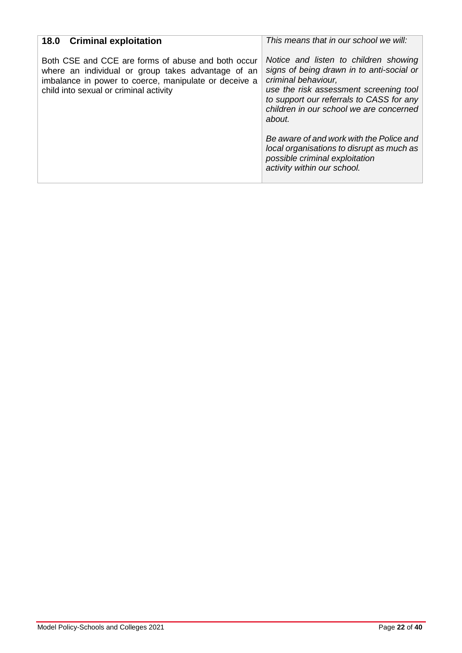| <b>18.0 Criminal exploitation</b>                                                                                                                                                                           | This means that in our school we will:                                                                                                                                                                                                                                                                                                                                                                         |
|-------------------------------------------------------------------------------------------------------------------------------------------------------------------------------------------------------------|----------------------------------------------------------------------------------------------------------------------------------------------------------------------------------------------------------------------------------------------------------------------------------------------------------------------------------------------------------------------------------------------------------------|
| Both CSE and CCE are forms of abuse and both occur<br>where an individual or group takes advantage of an<br>imbalance in power to coerce, manipulate or deceive a<br>child into sexual or criminal activity | Notice and listen to children showing<br>signs of being drawn in to anti-social or<br>criminal behaviour,<br>use the risk assessment screening tool<br>to support our referrals to CASS for any<br>children in our school we are concerned<br>about.<br>Be aware of and work with the Police and<br>local organisations to disrupt as much as<br>possible criminal exploitation<br>activity within our school. |
|                                                                                                                                                                                                             |                                                                                                                                                                                                                                                                                                                                                                                                                |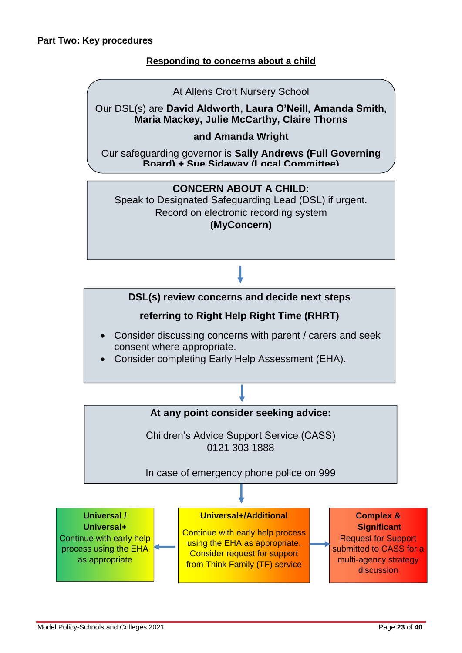## **Responding to concerns about a child**

#### At Allens Croft Nursery School

Our DSL(s) are **David Aldworth, Laura O'Neill, Amanda Smith, Maria Mackey, Julie McCarthy, Claire Thorns**

### **and Amanda Wright**

Our safeguarding governor is **Sally Andrews (Full Governing Board) + Sue Sidaway (Local Committee)**

## **CONCERN ABOUT A CHILD:**

Speak to Designated Safeguarding Lead (DSL) if urgent. Record on electronic recording system **(MyConcern)**

## **DSL(s) review concerns and decide next steps**

## **referring to Right Help Right Time (RHRT)**

- Consider discussing concerns with parent / carers and seek consent where appropriate.
- Consider completing Early Help Assessment (EHA).

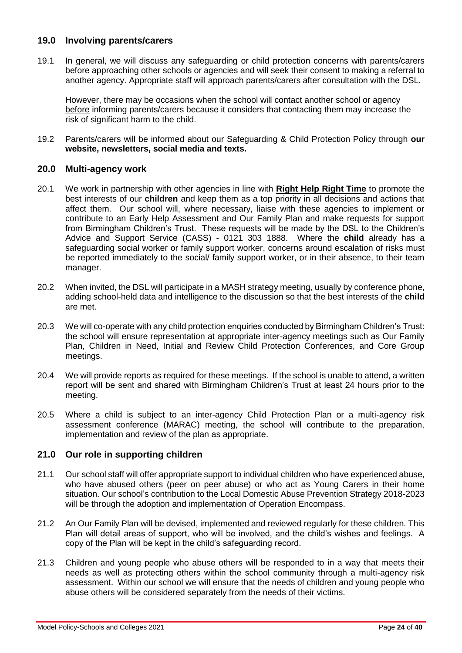#### **19.0 Involving parents/carers**

19.1 In general, we will discuss any safeguarding or child protection concerns with parents/carers before approaching other schools or agencies and will seek their consent to making a referral to another agency. Appropriate staff will approach parents/carers after consultation with the DSL.

However, there may be occasions when the school will contact another school or agency before informing parents/carers because it considers that contacting them may increase the risk of significant harm to the child.

19.2 Parents/carers will be informed about our Safeguarding & Child Protection Policy through **our website, newsletters, social media and texts.**

#### **20.0 Multi-agency work**

- 20.1 We work in partnership with other agencies in line with **[Right Help Right Time](http://www.lscpbirmingham.org.uk/index.php/delivering-effective-support)** to promote the best interests of our **children** and keep them as a top priority in all decisions and actions that affect them. Our school will, where necessary, liaise with these agencies to implement or contribute to an Early Help Assessment and Our Family Plan and make requests for support from Birmingham Children's Trust. These requests will be made by the DSL to the Children's Advice and Support Service (CASS) - 0121 303 1888. Where the **child** already has a safeguarding social worker or family support worker, concerns around escalation of risks must be reported immediately to the social/ family support worker, or in their absence, to their team manager.
- 20.2 When invited, the DSL will participate in a MASH strategy meeting, usually by conference phone, adding school-held data and intelligence to the discussion so that the best interests of the **child** are met.
- 20.3 We will co-operate with any child protection enquiries conducted by Birmingham Children's Trust: the school will ensure representation at appropriate inter-agency meetings such as Our Family Plan, Children in Need, Initial and Review Child Protection Conferences, and Core Group meetings.
- 20.4 We will provide reports as required for these meetings. If the school is unable to attend, a written report will be sent and shared with Birmingham Children's Trust at least 24 hours prior to the meeting.
- 20.5 Where a child is subject to an inter-agency Child Protection Plan or a multi-agency risk assessment conference (MARAC) meeting, the school will contribute to the preparation, implementation and review of the plan as appropriate.

#### **21.0 Our role in supporting children**

- 21.1 Our school staff will offer appropriate support to individual children who have experienced abuse, who have abused others (peer on peer abuse) or who act as Young Carers in their home situation. Our school's contribution to the Local Domestic Abuse Prevention Strategy 2018-2023 will be through the adoption and implementation of Operation Encompass.
- 21.2 An Our Family Plan will be devised, implemented and reviewed regularly for these children. This Plan will detail areas of support, who will be involved, and the child's wishes and feelings. A copy of the Plan will be kept in the child's safeguarding record.
- 21.3 Children and young people who abuse others will be responded to in a way that meets their needs as well as protecting others within the school community through a multi-agency risk assessment. Within our school we will ensure that the needs of children and young people who abuse others will be considered separately from the needs of their victims.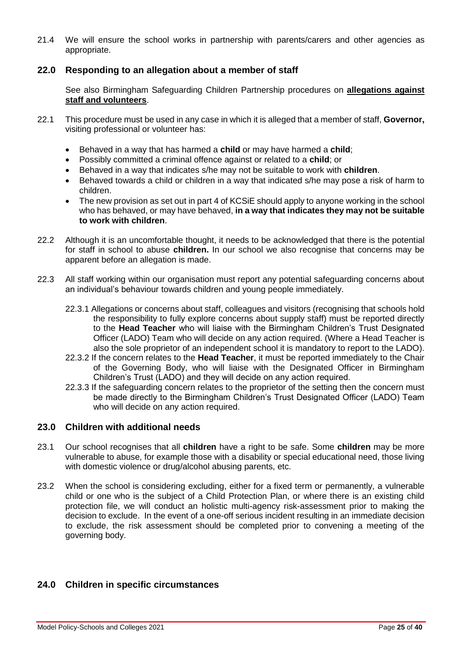21.4 We will ensure the school works in partnership with parents/carers and other agencies as appropriate.

#### **22.0 Responding to an allegation about a member of staff**

See also Birmingham Safeguarding Children Partnership procedures on **[allegations against](http://westmidlands.procedures.org.uk/ykpzy/statutory-child-protection-procedures/allegations-against-staff-or-volunteers)  [staff and volunteers](http://westmidlands.procedures.org.uk/ykpzy/statutory-child-protection-procedures/allegations-against-staff-or-volunteers)**.

- 22.1 This procedure must be used in any case in which it is alleged that a member of staff, **Governor,** visiting professional or volunteer has:
	- Behaved in a way that has harmed a **child** or may have harmed a **child**;
	- Possibly committed a criminal offence against or related to a **child**; or
	- Behaved in a way that indicates s/he may not be suitable to work with **children**.
	- Behaved towards a child or children in a way that indicated s/he may pose a risk of harm to children.
	- The new provision as set out in part 4 of KCSiE should apply to anyone working in the school who has behaved, or may have behaved, **in a way that indicates they may not be suitable to work with children**.
- 22.2 Although it is an uncomfortable thought, it needs to be acknowledged that there is the potential for staff in school to abuse **children.** In our school we also recognise that concerns may be apparent before an allegation is made.
- 22.3 All staff working within our organisation must report any potential safeguarding concerns about an individual's behaviour towards children and young people immediately.
	- 22.3.1 Allegations or concerns about staff, colleagues and visitors (recognising that schools hold the responsibility to fully explore concerns about supply staff) must be reported directly to the **Head Teacher** who will liaise with the Birmingham Children's Trust Designated Officer (LADO) Team who will decide on any action required. (Where a Head Teacher is also the sole proprietor of an independent school it is mandatory to report to the LADO).
	- 22.3.2 If the concern relates to the **Head Teacher**, it must be reported immediately to the Chair of the Governing Body, who will liaise with the Designated Officer in Birmingham Children's Trust (LADO) and they will decide on any action required.
	- 22.3.3 If the safeguarding concern relates to the proprietor of the setting then the concern must be made directly to the Birmingham Children's Trust Designated Officer (LADO) Team who will decide on any action required.

#### **23.0 Children with additional needs**

- 23.1 Our school recognises that all **children** have a right to be safe. Some **children** may be more vulnerable to abuse, for example those with a disability or special educational need, those living with domestic violence or drug/alcohol abusing parents, etc.
- 23.2 When the school is considering excluding, either for a fixed term or permanently, a vulnerable child or one who is the subject of a Child Protection Plan, or where there is an existing child protection file, we will conduct an holistic multi-agency risk-assessment prior to making the decision to exclude. In the event of a one-off serious incident resulting in an immediate decision to exclude, the risk assessment should be completed prior to convening a meeting of the governing body.

#### **24.0 Children in specific circumstances**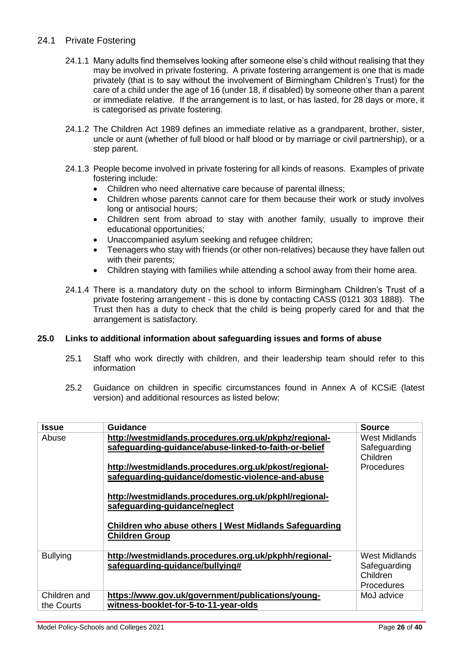#### 24.1 Private Fostering

- 24.1.1 Many adults find themselves looking after someone else's child without realising that they may be involved in private fostering. A private fostering arrangement is one that is made privately (that is to say without the involvement of Birmingham Children's Trust) for the care of a child under the age of 16 (under 18, if disabled) by someone other than a parent or immediate relative. If the arrangement is to last, or has lasted, for 28 days or more, it is categorised as private fostering.
- 24.1.2 The Children Act 1989 defines an immediate relative as a grandparent, brother, sister, uncle or aunt (whether of full blood or half blood or by marriage or civil partnership), or a step parent.
- 24.1.3 People become involved in private fostering for all kinds of reasons. Examples of private fostering include:
	- Children who need alternative care because of parental illness;
	- Children whose parents cannot care for them because their work or study involves long or antisocial hours;
	- Children sent from abroad to stay with another family, usually to improve their educational opportunities;
	- Unaccompanied asylum seeking and refugee children;
	- Teenagers who stay with friends (or other non-relatives) because they have fallen out with their parents;
	- Children staying with families while attending a school away from their home area.
- 24.1.4 There is a mandatory duty on the school to inform Birmingham Children's Trust of a private fostering arrangement - this is done by contacting CASS (0121 303 1888). The Trust then has a duty to check that the child is being properly cared for and that the arrangement is satisfactory.

#### **25.0 Links to additional information about safeguarding issues and forms of abuse**

- 25.1 Staff who work directly with children, and their leadership team should refer to this information
- 25.2 Guidance on children in specific circumstances found in Annex A of KCSiE (latest version) and additional resources as listed below:

| Issue           | <b>Guidance</b>                                        | <b>Source</b> |
|-----------------|--------------------------------------------------------|---------------|
| Abuse           | http://westmidlands.procedures.org.uk/pkphz/regional-  | West Midlands |
|                 | safeguarding-guidance/abuse-linked-to-faith-or-belief  | Safeguarding  |
|                 |                                                        | Children      |
|                 | http://westmidlands.procedures.org.uk/pkost/regional-  | Procedures    |
|                 | safeguarding-guidance/domestic-violence-and-abuse      |               |
|                 |                                                        |               |
|                 | http://westmidlands.procedures.org.uk/pkphl/regional-  |               |
|                 | safeguarding-guidance/neglect                          |               |
|                 |                                                        |               |
|                 | Children who abuse others   West Midlands Safeguarding |               |
|                 | <b>Children Group</b>                                  |               |
| <b>Bullying</b> | http://westmidlands.procedures.org.uk/pkphh/regional-  | West Midlands |
|                 | safeguarding-guidance/bullying#                        | Safeguarding  |
|                 |                                                        | Children      |
|                 |                                                        | Procedures    |
| Children and    | https://www.gov.uk/government/publications/young-      | MoJ advice    |
| the Courts      | witness-booklet-for-5-to-11-year-olds                  |               |
|                 |                                                        |               |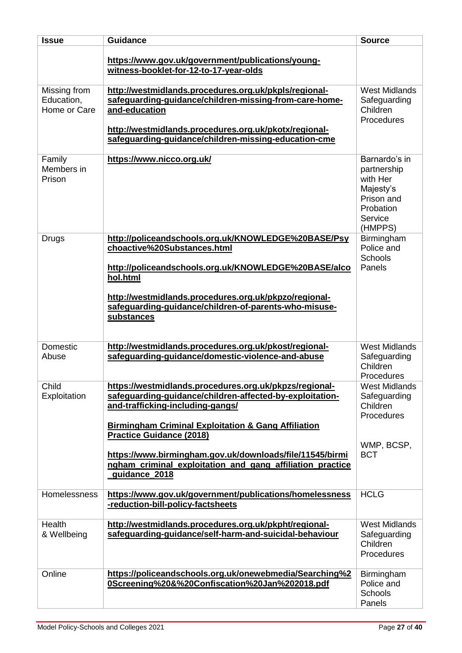| <b>Issue</b>                               | <b>Guidance</b>                                                                                                                                                                                                                                                                                                                                                                                       | <b>Source</b>                                                                                          |
|--------------------------------------------|-------------------------------------------------------------------------------------------------------------------------------------------------------------------------------------------------------------------------------------------------------------------------------------------------------------------------------------------------------------------------------------------------------|--------------------------------------------------------------------------------------------------------|
|                                            | https://www.gov.uk/government/publications/young-<br>witness-booklet-for-12-to-17-year-olds                                                                                                                                                                                                                                                                                                           |                                                                                                        |
| Missing from<br>Education,<br>Home or Care | http://westmidlands.procedures.org.uk/pkpls/regional-<br>safeguarding-guidance/children-missing-from-care-home-<br>and-education<br>http://westmidlands.procedures.org.uk/pkotx/regional-<br>safeguarding-guidance/children-missing-education-cme                                                                                                                                                     | <b>West Midlands</b><br>Safeguarding<br>Children<br>Procedures                                         |
| Family<br>Members in<br>Prison             | https://www.nicco.org.uk/                                                                                                                                                                                                                                                                                                                                                                             | Barnardo's in<br>partnership<br>with Her<br>Majesty's<br>Prison and<br>Probation<br>Service<br>(HMPPS) |
| Drugs                                      | http://policeandschools.org.uk/KNOWLEDGE%20BASE/Psy<br>choactive%20Substances.html<br>http://policeandschools.org.uk/KNOWLEDGE%20BASE/alco<br>hol.html<br>http://westmidlands.procedures.org.uk/pkpzo/regional-<br>safeguarding-guidance/children-of-parents-who-misuse-<br>substances                                                                                                                | Birmingham<br>Police and<br>Schools<br>Panels                                                          |
| Domestic<br>Abuse                          | http://westmidlands.procedures.org.uk/pkost/regional-<br>safeguarding-guidance/domestic-violence-and-abuse                                                                                                                                                                                                                                                                                            | <b>West Midlands</b><br>Safeguarding<br>Children<br>Procedures                                         |
| Child<br>Exploitation                      | https://westmidlands.procedures.org.uk/pkpzs/regional-<br>safeguarding-guidance/children-affected-by-exploitation-<br>and-trafficking-including-gangs/<br><b>Birmingham Criminal Exploitation &amp; Gang Affiliation</b><br><b>Practice Guidance (2018)</b><br>https://www.birmingham.gov.uk/downloads/file/11545/birmi<br>ngham_criminal_exploitation_and_gang_affiliation_practice<br>guidance_2018 | <b>West Midlands</b><br>Safeguarding<br>Children<br>Procedures<br>WMP, BCSP,<br><b>BCT</b>             |
| Homelessness                               | https://www.gov.uk/government/publications/homelessness<br>-reduction-bill-policy-factsheets                                                                                                                                                                                                                                                                                                          | <b>HCLG</b>                                                                                            |
| Health<br>& Wellbeing                      | http://westmidlands.procedures.org.uk/pkpht/regional-<br>safeguarding-guidance/self-harm-and-suicidal-behaviour                                                                                                                                                                                                                                                                                       | <b>West Midlands</b><br>Safeguarding<br>Children<br>Procedures                                         |
| Online                                     | https://policeandschools.org.uk/onewebmedia/Searching%2<br>0Screening%20&%20Confiscation%20Jan%202018.pdf                                                                                                                                                                                                                                                                                             | Birmingham<br>Police and<br>Schools<br>Panels                                                          |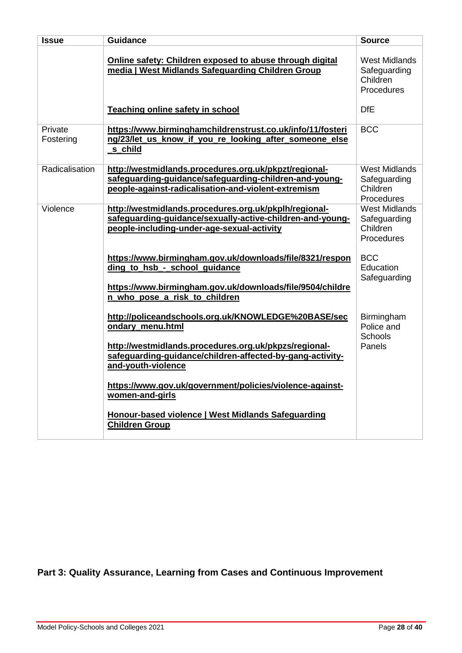| <b>Issue</b>         | <b>Guidance</b>                                                                                                                                                                         | <b>Source</b>                                                         |
|----------------------|-----------------------------------------------------------------------------------------------------------------------------------------------------------------------------------------|-----------------------------------------------------------------------|
|                      | Online safety: Children exposed to abuse through digital<br>media   West Midlands Safeguarding Children Group<br>Teaching online safety in school                                       | <b>West Midlands</b><br>Safeguarding<br>Children<br>Procedures<br>DfE |
| Private<br>Fostering | https://www.birminghamchildrenstrust.co.uk/info/11/fosteri<br>ng/23/let_us_know_if_you_re_looking_after_someone_else<br>s child                                                         | <b>BCC</b>                                                            |
| Radicalisation       | http://westmidlands.procedures.org.uk/pkpzt/regional-<br>safeguarding-guidance/safeguarding-children-and-young-<br>people-against-radicalisation-and-violent-extremism                  | <b>West Midlands</b><br>Safeguarding<br>Children<br>Procedures        |
| Violence             | http://westmidlands.procedures.org.uk/pkplh/regional-<br>safeguarding-guidance/sexually-active-children-and-young-<br>people-including-under-age-sexual-activity                        | <b>West Midlands</b><br>Safeguarding<br>Children<br>Procedures        |
|                      | https://www.birmingham.gov.uk/downloads/file/8321/respon<br>ding to hsb - school guidance<br>https://www.birmingham.gov.uk/downloads/file/9504/childre<br>n_who_pose_a_risk_to_children | <b>BCC</b><br>Education<br>Safeguarding                               |
|                      | http://policeandschools.org.uk/KNOWLEDGE%20BASE/sec<br>ondary_menu.html                                                                                                                 | Birmingham<br>Police and<br><b>Schools</b>                            |
|                      | http://westmidlands.procedures.org.uk/pkpzs/regional-<br>safeguarding-guidance/children-affected-by-gang-activity-<br>and-youth-violence                                                | <b>Panels</b>                                                         |
|                      | https://www.gov.uk/government/policies/violence-against-<br>women-and-girls                                                                                                             |                                                                       |
|                      | Honour-based violence   West Midlands Safeguarding<br><b>Children Group</b>                                                                                                             |                                                                       |

**Part 3: Quality Assurance, Learning from Cases and Continuous Improvement**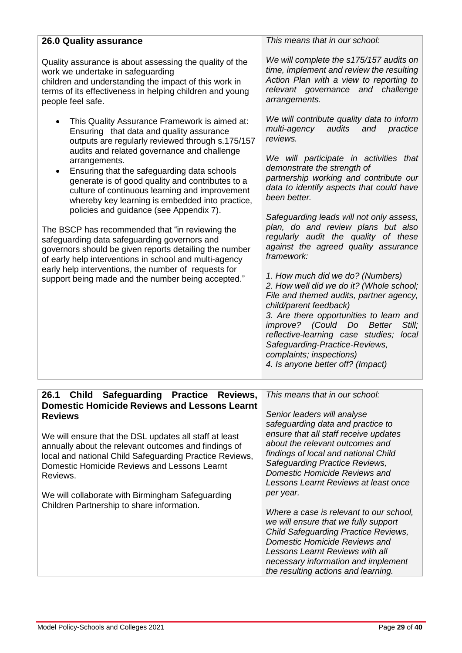| <b>26.0 Quality assurance</b>                                                                                                                                                                                                                                                                                                                                                                                                                                                                                                                                                                                                                                                                                                                                                                                      | This means that in our school:                                                                                                                                                                                                                                                                                                                                                                                                                                                                                                                                                                                                                                                                                                                                                                                                                         |
|--------------------------------------------------------------------------------------------------------------------------------------------------------------------------------------------------------------------------------------------------------------------------------------------------------------------------------------------------------------------------------------------------------------------------------------------------------------------------------------------------------------------------------------------------------------------------------------------------------------------------------------------------------------------------------------------------------------------------------------------------------------------------------------------------------------------|--------------------------------------------------------------------------------------------------------------------------------------------------------------------------------------------------------------------------------------------------------------------------------------------------------------------------------------------------------------------------------------------------------------------------------------------------------------------------------------------------------------------------------------------------------------------------------------------------------------------------------------------------------------------------------------------------------------------------------------------------------------------------------------------------------------------------------------------------------|
| Quality assurance is about assessing the quality of the<br>work we undertake in safeguarding<br>children and understanding the impact of this work in<br>terms of its effectiveness in helping children and young<br>people feel safe.                                                                                                                                                                                                                                                                                                                                                                                                                                                                                                                                                                             | We will complete the s175/157 audits on<br>time, implement and review the resulting<br>Action Plan with a view to reporting to<br>relevant governance and challenge<br>arrangements.                                                                                                                                                                                                                                                                                                                                                                                                                                                                                                                                                                                                                                                                   |
| This Quality Assurance Framework is aimed at:<br>Ensuring that data and quality assurance<br>outputs are regularly reviewed through s.175/157<br>audits and related governance and challenge<br>arrangements.<br>Ensuring that the safeguarding data schools<br>$\bullet$<br>generate is of good quality and contributes to a<br>culture of continuous learning and improvement<br>whereby key learning is embedded into practice,<br>policies and guidance (see Appendix 7).<br>The BSCP has recommended that "in reviewing the<br>safeguarding data safeguarding governors and<br>governors should be given reports detailing the number<br>of early help interventions in school and multi-agency<br>early help interventions, the number of requests for<br>support being made and the number being accepted." | We will contribute quality data to inform<br>multi-agency<br>audits<br>and<br>practice<br>reviews.<br>We will participate in activities that<br>demonstrate the strength of<br>partnership working and contribute our<br>data to identify aspects that could have<br>been better.<br>Safeguarding leads will not only assess,<br>plan, do and review plans but also<br>regularly audit the quality of these<br>against the agreed quality assurance<br>framework:<br>1. How much did we do? (Numbers)<br>2. How well did we do it? (Whole school;<br>File and themed audits, partner agency,<br>child/parent feedback)<br>3. Are there opportunities to learn and<br>Still;<br>improve? (Could Do Better<br>reflective-learning case studies; local<br>Safeguarding-Practice-Reviews,<br>complaints; inspections)<br>4. Is anyone better off? (Impact) |
| Safeguarding Practice Reviews,<br>26.1<br><b>Child</b><br><b>Domestic Homicide Reviews and Lessons Learnt</b><br><b>Reviews</b><br>We will ensure that the DSL updates all staff at least<br>annually about the relevant outcomes and findings of<br>local and national Child Safeguarding Practice Reviews,<br>Domestic Homicide Reviews and Lessons Learnt<br>Reviews.                                                                                                                                                                                                                                                                                                                                                                                                                                           | This means that in our school:<br>Senior leaders will analyse<br>safeguarding data and practice to<br>ensure that all staff receive updates<br>about the relevant outcomes and<br>findings of local and national Child<br>Safeguarding Practice Reviews,<br>Domestic Homicide Reviews and                                                                                                                                                                                                                                                                                                                                                                                                                                                                                                                                                              |
| We will collaborate with Birmingham Safeguarding<br>Children Partnership to share information.                                                                                                                                                                                                                                                                                                                                                                                                                                                                                                                                                                                                                                                                                                                     | Lessons Learnt Reviews at least once<br>per year.<br>Where a case is relevant to our school,<br>we will ensure that we fully support<br><b>Child Safeguarding Practice Reviews,</b><br>Domestic Homicide Reviews and<br><b>Lessons Learnt Reviews with all</b><br>necessary information and implement<br>the resulting actions and learning.                                                                                                                                                                                                                                                                                                                                                                                                                                                                                                           |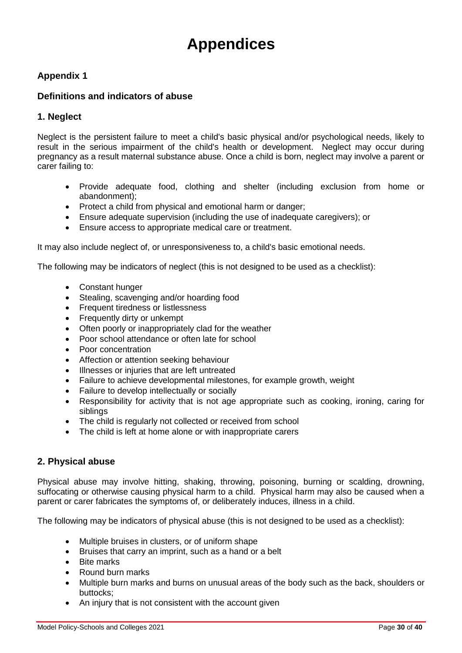# **Appendices**

#### **Appendix 1**

#### **Definitions and indicators of abuse**

#### **1. Neglect**

Neglect is the persistent failure to meet a child's basic physical and/or psychological needs, likely to result in the serious impairment of the child's health or development. Neglect may occur during pregnancy as a result maternal substance abuse. Once a child is born, neglect may involve a parent or carer failing to:

- Provide adequate food, clothing and shelter (including exclusion from home or abandonment);
- Protect a child from physical and emotional harm or danger;
- Ensure adequate supervision (including the use of inadequate caregivers); or
- Ensure access to appropriate medical care or treatment.

It may also include neglect of, or unresponsiveness to, a child's basic emotional needs.

The following may be indicators of neglect (this is not designed to be used as a checklist):

- Constant hunger
- Stealing, scavenging and/or hoarding food
- Frequent tiredness or listlessness
- Frequently dirty or unkempt
- Often poorly or inappropriately clad for the weather
- Poor school attendance or often late for school
- Poor concentration
- Affection or attention seeking behaviour
- Illnesses or injuries that are left untreated
- Failure to achieve developmental milestones, for example growth, weight
- Failure to develop intellectually or socially
- Responsibility for activity that is not age appropriate such as cooking, ironing, caring for siblings
- The child is regularly not collected or received from school
- The child is left at home alone or with inappropriate carers

#### **2. Physical abuse**

Physical abuse may involve hitting, shaking, throwing, poisoning, burning or scalding, drowning, suffocating or otherwise causing physical harm to a child. Physical harm may also be caused when a parent or carer fabricates the symptoms of, or deliberately induces, illness in a child.

The following may be indicators of physical abuse (this is not designed to be used as a checklist):

- Multiple bruises in clusters, or of uniform shape
- Bruises that carry an imprint, such as a hand or a belt
- Bite marks
- Round burn marks
- Multiple burn marks and burns on unusual areas of the body such as the back, shoulders or buttocks;
- An injury that is not consistent with the account given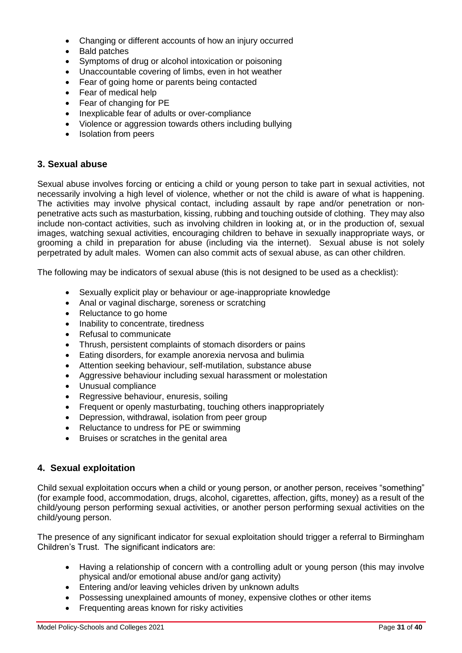- Changing or different accounts of how an injury occurred
- Bald patches
- Symptoms of drug or alcohol intoxication or poisoning
- Unaccountable covering of limbs, even in hot weather
- Fear of going home or parents being contacted
- Fear of medical help
- Fear of changing for PE
- Inexplicable fear of adults or over-compliance
- Violence or aggression towards others including bullying
- Isolation from peers

#### **3. Sexual abuse**

Sexual abuse involves forcing or enticing a child or young person to take part in sexual activities, not necessarily involving a high level of violence, whether or not the child is aware of what is happening. The activities may involve physical contact, including assault by rape and/or penetration or nonpenetrative acts such as masturbation, kissing, rubbing and touching outside of clothing*.* They may also include non-contact activities, such as involving children in looking at, or in the production of, sexual images, watching sexual activities, encouraging children to behave in sexually inappropriate ways, or grooming a child in preparation for abuse (including via the internet). Sexual abuse is not solely perpetrated by adult males. Women can also commit acts of sexual abuse, as can other children.

The following may be indicators of sexual abuse (this is not designed to be used as a checklist):

- Sexually explicit play or behaviour or age-inappropriate knowledge
- Anal or vaginal discharge, soreness or scratching
- Reluctance to go home
- Inability to concentrate, tiredness
- Refusal to communicate
- Thrush, persistent complaints of stomach disorders or pains
- Eating disorders, for example anorexia nervosa and bulimia
- Attention seeking behaviour, self-mutilation, substance abuse
- Aggressive behaviour including sexual harassment or molestation
- Unusual compliance
- Regressive behaviour, enuresis, soiling
- Frequent or openly masturbating, touching others inappropriately
- Depression, withdrawal, isolation from peer group
- Reluctance to undress for PE or swimming
- Bruises or scratches in the genital area

#### **4. Sexual exploitation**

Child sexual exploitation occurs when a child or young person, or another person, receives "something" (for example food, accommodation, drugs, alcohol, cigarettes, affection, gifts, money) as a result of the child/young person performing sexual activities, or another person performing sexual activities on the child/young person.

The presence of any significant indicator for sexual exploitation should trigger a referral to Birmingham Children's Trust. The significant indicators are:

- Having a relationship of concern with a controlling adult or young person (this may involve physical and/or emotional abuse and/or gang activity)
- Entering and/or leaving vehicles driven by unknown adults
- Possessing unexplained amounts of money, expensive clothes or other items
- Frequenting areas known for risky activities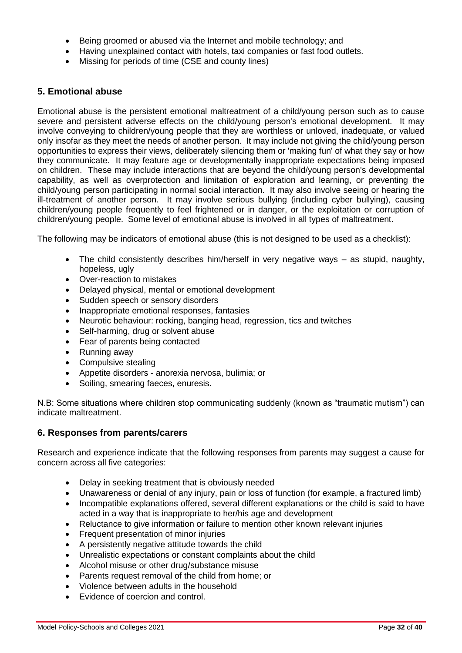- Being groomed or abused via the Internet and mobile technology; and
- Having unexplained contact with hotels, taxi companies or fast food outlets.
- Missing for periods of time (CSE and county lines)

#### **5. Emotional abuse**

Emotional abuse is the persistent emotional maltreatment of a child/young person such as to cause severe and persistent adverse effects on the child/young person's emotional development. It may involve conveying to children/young people that they are worthless or unloved, inadequate, or valued only insofar as they meet the needs of another person. It may include not giving the child/young person opportunities to express their views, deliberately silencing them or 'making fun' of what they say or how they communicate. It may feature age or developmentally inappropriate expectations being imposed on children. These may include interactions that are beyond the child/young person's developmental capability, as well as overprotection and limitation of exploration and learning, or preventing the child/young person participating in normal social interaction. It may also involve seeing or hearing the ill-treatment of another person. It may involve serious bullying (including cyber bullying)*,* causing children/young people frequently to feel frightened or in danger, or the exploitation or corruption of children/young people. Some level of emotional abuse is involved in all types of maltreatment.

The following may be indicators of emotional abuse (this is not designed to be used as a checklist):

- The child consistently describes him/herself in very negative ways as stupid, naughty, hopeless, ugly
- Over-reaction to mistakes
- Delayed physical, mental or emotional development
- Sudden speech or sensory disorders
- Inappropriate emotional responses, fantasies
- Neurotic behaviour: rocking, banging head, regression, tics and twitches
- Self-harming, drug or solvent abuse
- Fear of parents being contacted
- Running away
- Compulsive stealing
- Appetite disorders anorexia nervosa, bulimia; or
- Soiling, smearing faeces, enuresis.

N.B: Some situations where children stop communicating suddenly (known as "traumatic mutism") can indicate maltreatment.

#### **6. Responses from parents/carers**

Research and experience indicate that the following responses from parents may suggest a cause for concern across all five categories:

- Delay in seeking treatment that is obviously needed
- Unawareness or denial of any injury, pain or loss of function (for example, a fractured limb)
- Incompatible explanations offered, several different explanations or the child is said to have acted in a way that is inappropriate to her/his age and development
- Reluctance to give information or failure to mention other known relevant injuries
- Frequent presentation of minor injuries
- A persistently negative attitude towards the child
- Unrealistic expectations or constant complaints about the child
- Alcohol misuse or other drug/substance misuse
- Parents request removal of the child from home; or
- Violence between adults in the household
- Evidence of coercion and control.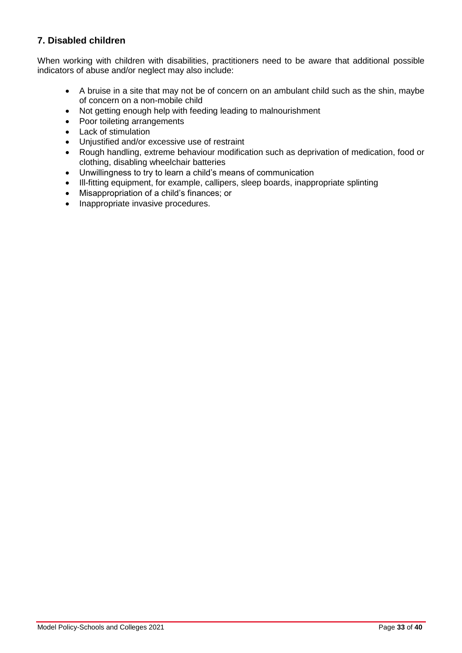## **7. Disabled children**

When working with children with disabilities, practitioners need to be aware that additional possible indicators of abuse and/or neglect may also include:

- A bruise in a site that may not be of concern on an ambulant child such as the shin, maybe of concern on a non-mobile child
- Not getting enough help with feeding leading to malnourishment
- Poor toileting arrangements
- Lack of stimulation
- Uniustified and/or excessive use of restraint
- Rough handling, extreme behaviour modification such as deprivation of medication, food or clothing, disabling wheelchair batteries
- Unwillingness to try to learn a child's means of communication
- Ill-fitting equipment, for example, callipers, sleep boards, inappropriate splinting
- Misappropriation of a child's finances; or
- Inappropriate invasive procedures.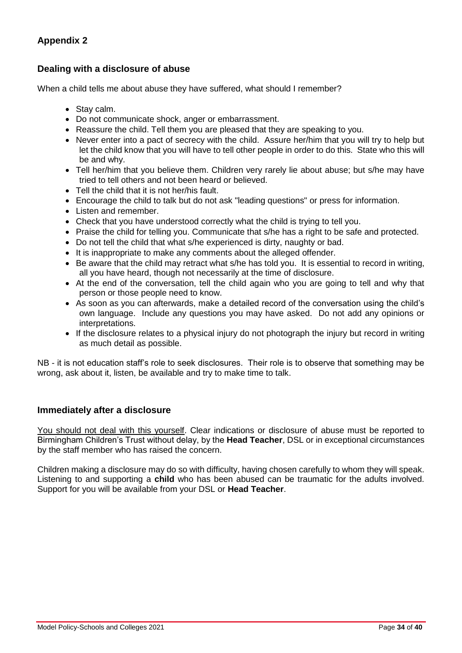### **Dealing with a disclosure of abuse**

When a child tells me about abuse they have suffered, what should I remember?

- Stay calm.
- Do not communicate shock, anger or embarrassment.
- Reassure the child. Tell them you are pleased that they are speaking to you.
- Never enter into a pact of secrecy with the child. Assure her/him that you will try to help but let the child know that you will have to tell other people in order to do this. State who this will be and why.
- Tell her/him that you believe them. Children very rarely lie about abuse; but s/he may have tried to tell others and not been heard or believed.
- Tell the child that it is not her/his fault.
- Encourage the child to talk but do not ask "leading questions" or press for information.
- Listen and remember.
- Check that you have understood correctly what the child is trying to tell you.
- Praise the child for telling you. Communicate that s/he has a right to be safe and protected.
- Do not tell the child that what s/he experienced is dirty, naughty or bad.
- It is inappropriate to make any comments about the alleged offender.
- Be aware that the child may retract what s/he has told you. It is essential to record in writing, all you have heard, though not necessarily at the time of disclosure.
- At the end of the conversation, tell the child again who you are going to tell and why that person or those people need to know.
- As soon as you can afterwards, make a detailed record of the conversation using the child's own language. Include any questions you may have asked. Do not add any opinions or interpretations.
- If the disclosure relates to a physical injury do not photograph the injury but record in writing as much detail as possible.

NB - it is not education staff's role to seek disclosures. Their role is to observe that something may be wrong, ask about it, listen, be available and try to make time to talk.

#### **Immediately after a disclosure**

You should not deal with this yourself. Clear indications or disclosure of abuse must be reported to Birmingham Children's Trust without delay, by the **Head Teacher**, DSL or in exceptional circumstances by the staff member who has raised the concern.

Children making a disclosure may do so with difficulty, having chosen carefully to whom they will speak. Listening to and supporting a **child** who has been abused can be traumatic for the adults involved. Support for you will be available from your DSL or **Head Teacher**.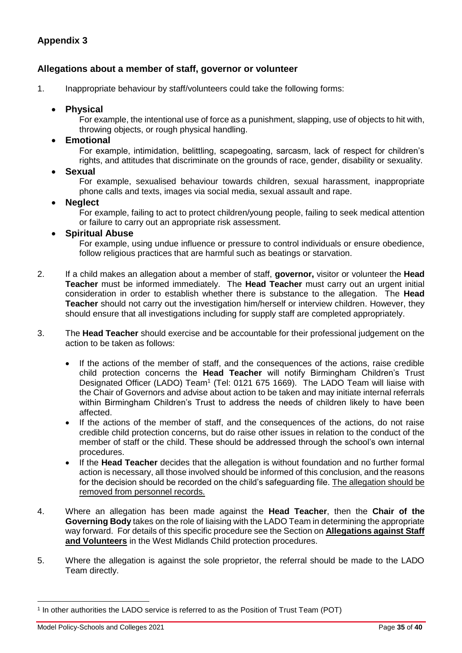#### **Allegations about a member of staff, governor or volunteer**

1. Inappropriate behaviour by staff/volunteers could take the following forms:

#### **Physical**

For example, the intentional use of force as a punishment, slapping, use of objects to hit with, throwing objects, or rough physical handling.

#### **Emotional**

For example, intimidation, belittling, scapegoating, sarcasm, lack of respect for children's rights, and attitudes that discriminate on the grounds of race, gender, disability or sexuality.

**Sexual** 

For example, sexualised behaviour towards children, sexual harassment, inappropriate phone calls and texts, images via social media, sexual assault and rape.

#### **Neglect**

For example, failing to act to protect children/young people, failing to seek medical attention or failure to carry out an appropriate risk assessment.

#### **Spiritual Abuse**

For example, using undue influence or pressure to control individuals or ensure obedience, follow religious practices that are harmful such as beatings or starvation.

- 2. If a child makes an allegation about a member of staff, **governor,** visitor or volunteer the **Head Teacher** must be informed immediately. The **Head Teacher** must carry out an urgent initial consideration in order to establish whether there is substance to the allegation. The **Head Teacher** should not carry out the investigation him/herself or interview children. However, they should ensure that all investigations including for supply staff are completed appropriately.
- 3. The **Head Teacher** should exercise and be accountable for their professional judgement on the action to be taken as follows:
	- If the actions of the member of staff, and the consequences of the actions, raise credible child protection concerns the **Head Teacher** will notify Birmingham Children's Trust Designated Officer (LADO) Team<sup>1</sup> (Tel: 0121 675 1669). The LADO Team will liaise with the Chair of Governors and advise about action to be taken and may initiate internal referrals within Birmingham Children's Trust to address the needs of children likely to have been affected.
	- If the actions of the member of staff, and the consequences of the actions, do not raise credible child protection concerns, but do raise other issues in relation to the conduct of the member of staff or the child. These should be addressed through the school's own internal procedures.
	- If the **Head Teacher** decides that the allegation is without foundation and no further formal action is necessary, all those involved should be informed of this conclusion, and the reasons for the decision should be recorded on the child's safeguarding file. The allegation should be removed from personnel records.
- 4. Where an allegation has been made against the **Head Teacher**, then the **Chair of the Governing Body** takes on the role of liaising with the LADO Team in determining the appropriate way forward. For details of this specific procedure see the Section on **[Allegations against Staff](http://westmidlands.procedures.org.uk/ykpzy/statutory-child-protection-procedures/allegations-against-staff-or-volunteers)  [and Volunteers](http://westmidlands.procedures.org.uk/ykpzy/statutory-child-protection-procedures/allegations-against-staff-or-volunteers)** in the West Midlands Child protection procedures.
- 5. Where the allegation is against the sole proprietor, the referral should be made to the LADO Team directly.

 $\overline{a}$ 

<sup>1</sup> In other authorities the LADO service is referred to as the Position of Trust Team (POT)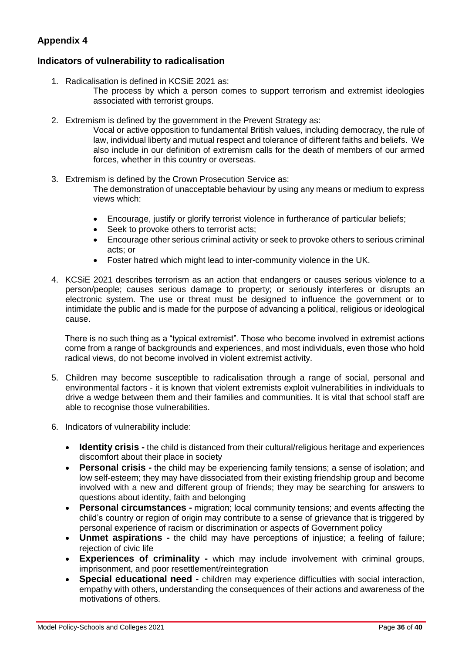#### **Indicators of vulnerability to radicalisation**

- 1. Radicalisation is defined in KCSiE 2021 as:
	- The process by which a person comes to support terrorism and extremist ideologies associated with terrorist groups.
- 2. Extremism is defined by the government in the Prevent Strategy as:

Vocal or active opposition to fundamental British values, including democracy, the rule of law, individual liberty and mutual respect and tolerance of different faiths and beliefs. We also include in our definition of extremism calls for the death of members of our armed forces, whether in this country or overseas.

- 3. Extremism is defined by the Crown Prosecution Service as: The demonstration of unacceptable behaviour by using any means or medium to express views which:
	- Encourage, justify or glorify terrorist violence in furtherance of particular beliefs;
	- Seek to provoke others to terrorist acts;
	- Encourage other serious criminal activity or seek to provoke others to serious criminal acts; or
	- Foster hatred which might lead to inter-community violence in the UK.
- 4. KCSiE 2021 describes terrorism as an action that endangers or causes serious violence to a person/people; causes serious damage to property; or seriously interferes or disrupts an electronic system. The use or threat must be designed to influence the government or to intimidate the public and is made for the purpose of advancing a political, religious or ideological cause.

There is no such thing as a "typical extremist". Those who become involved in extremist actions come from a range of backgrounds and experiences, and most individuals, even those who hold radical views, do not become involved in violent extremist activity.

- 5. Children may become susceptible to radicalisation through a range of social, personal and environmental factors - it is known that violent extremists exploit vulnerabilities in individuals to drive a wedge between them and their families and communities. It is vital that school staff are able to recognise those vulnerabilities.
- 6. Indicators of vulnerability include:
	- **Identity crisis -** the child is distanced from their cultural/religious heritage and experiences discomfort about their place in society
	- **Personal crisis -** the child may be experiencing family tensions; a sense of isolation; and low self-esteem; they may have dissociated from their existing friendship group and become involved with a new and different group of friends; they may be searching for answers to questions about identity, faith and belonging
	- **Personal circumstances -** migration; local community tensions; and events affecting the child's country or region of origin may contribute to a sense of grievance that is triggered by personal experience of racism or discrimination or aspects of Government policy
	- **Unmet aspirations -** the child may have perceptions of injustice; a feeling of failure; rejection of civic life
	- **Experiences of criminality -** which may include involvement with criminal groups, imprisonment, and poor resettlement/reintegration
	- **Special educational need -** children may experience difficulties with social interaction, empathy with others, understanding the consequences of their actions and awareness of the motivations of others.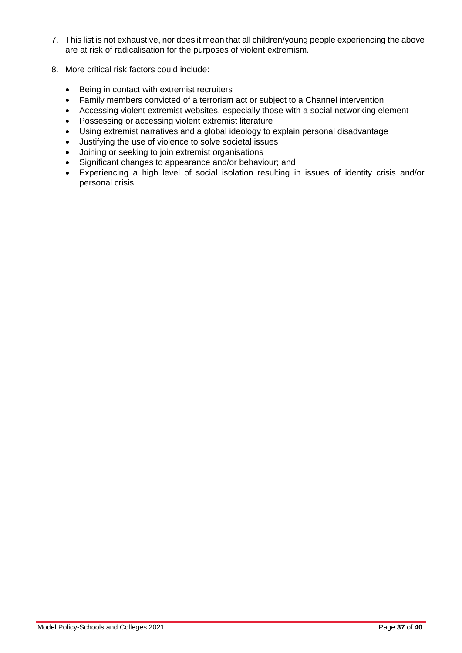- 7. This list is not exhaustive, nor does it mean that all children/young people experiencing the above are at risk of radicalisation for the purposes of violent extremism.
- 8. More critical risk factors could include:
	- Being in contact with extremist recruiters
	- Family members convicted of a terrorism act or subject to a Channel intervention
	- Accessing violent extremist websites, especially those with a social networking element
	- Possessing or accessing violent extremist literature
	- Using extremist narratives and a global ideology to explain personal disadvantage
	- Justifying the use of violence to solve societal issues
	- Joining or seeking to join extremist organisations
	- Significant changes to appearance and/or behaviour; and
	- Experiencing a high level of social isolation resulting in issues of identity crisis and/or personal crisis.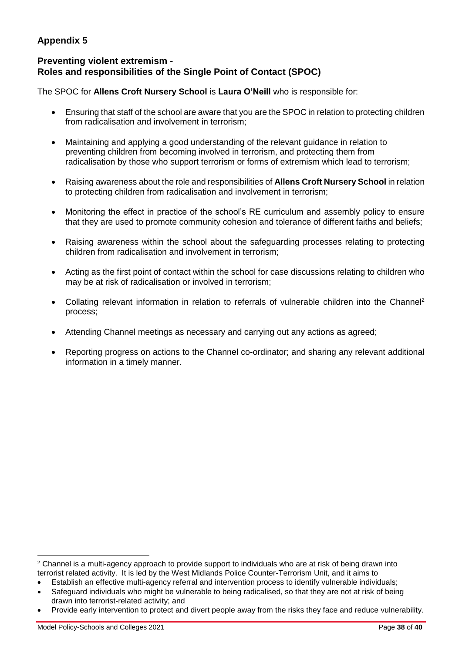## **Preventing violent extremism - Roles and responsibilities of the Single Point of Contact (SPOC)**

The SPOC for **Allens Croft Nursery School** is **Laura O'Neill** who is responsible for:

- Ensuring that staff of the school are aware that you are the SPOC in relation to protecting children from radicalisation and involvement in terrorism;
- Maintaining and applying a good understanding of the relevant guidance in relation to preventing children from becoming involved in terrorism, and protecting them from radicalisation by those who support terrorism or forms of extremism which lead to terrorism;
- Raising awareness about the role and responsibilities of **Allens Croft Nursery School** in relation to protecting children from radicalisation and involvement in terrorism;
- Monitoring the effect in practice of the school's RE curriculum and assembly policy to ensure that they are used to promote community cohesion and tolerance of different faiths and beliefs;
- Raising awareness within the school about the safeguarding processes relating to protecting children from radicalisation and involvement in terrorism;
- Acting as the first point of contact within the school for case discussions relating to children who may be at risk of radicalisation or involved in terrorism;
- Collating relevant information in relation to referrals of vulnerable children into the Channel<sup>2</sup> process;
- Attending Channel meetings as necessary and carrying out any actions as agreed;
- Reporting progress on actions to the Channel co-ordinator; and sharing any relevant additional information in a timely manner.

 $\overline{a}$ 

<sup>&</sup>lt;sup>2</sup> Channel is a multi-agency approach to provide support to individuals who are at risk of being drawn into terrorist related activity. It is led by the West Midlands Police Counter-Terrorism Unit, and it aims to

Establish an effective multi-agency referral and intervention process to identify vulnerable individuals;

Safeguard individuals who might be vulnerable to being radicalised, so that they are not at risk of being drawn into terrorist-related activity; and

Provide early intervention to protect and divert people away from the risks they face and reduce vulnerability.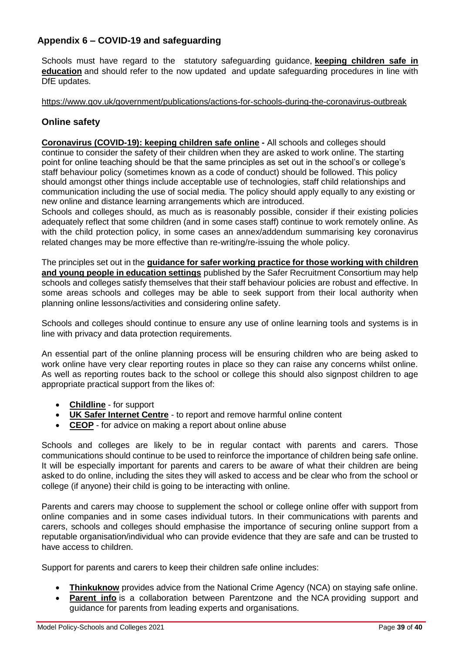## **Appendix 6 – COVID-19 and safeguarding**

Schools must have regard to the statutory safeguarding guidance, **[keeping children safe in](https://www.gov.uk/government/publications/keeping-children-safe-in-education--2)  [education](https://www.gov.uk/government/publications/keeping-children-safe-in-education--2)** and should refer to the now updated and update safeguarding procedures in line with DfE updates.

#### <https://www.gov.uk/government/publications/actions-for-schools-during-the-coronavirus-outbreak>

### **Online safety**

**[Coronavirus \(COVID-19\): keeping children safe online](https://www.gov.uk/government/publications/coronavirus-covid-19-keeping-children-safe-online) -** All schools and colleges should continue to consider the safety of their children when they are asked to work online. The starting point for online teaching should be that the same principles as set out in the school's or college's staff behaviour policy (sometimes known as a code of conduct) should be followed. This policy should amongst other things include acceptable use of technologies, staff child relationships and communication including the use of social media. The policy should apply equally to any existing or new online and distance learning arrangements which are introduced.

Schools and colleges should, as much as is reasonably possible, consider if their existing policies adequately reflect that some children (and in some cases staff) continue to work remotely online. As with the child protection policy, in some cases an annex/addendum summarising key coronavirus related changes may be more effective than re-writing/re-issuing the whole policy.

The principles set out in the **[guidance for safer working practice for those working with children](https://www.saferrecruitmentconsortium.org/)  [and young people in education settings](https://www.saferrecruitmentconsortium.org/)** published by the Safer Recruitment Consortium may help schools and colleges satisfy themselves that their staff behaviour policies are robust and effective. In some areas schools and colleges may be able to seek support from their local authority when planning online lessons/activities and considering online safety.

Schools and colleges should continue to ensure any use of online learning tools and systems is in line with privacy and data protection requirements.

An essential part of the online planning process will be ensuring children who are being asked to work online have very clear reporting routes in place so they can raise any concerns whilst online. As well as reporting routes back to the school or college this should also signpost children to age appropriate practical support from the likes of:

- **[Childline](https://www.childline.org.uk/?utm_source=google&utm_medium=cpc&utm_campaign=UK_GO_S_B_BND_Grant_Childline_Information&utm_term=role_of_childline&gclsrc=aw.ds&&gclid=EAIaIQobChMIlfLRh-ez6AIVRrDtCh1N9QR2EAAYASAAEgLc-vD_BwE&gclsrc=aw.ds)** for support
- **[UK Safer Internet Centre](https://reportharmfulcontent.com/)** to report and remove harmful online content
- **[CEOP](https://www.ceop.police.uk/safety-centre/)** for advice on making a report about online abuse

Schools and colleges are likely to be in regular contact with parents and carers. Those communications should continue to be used to reinforce the importance of children being safe online. It will be especially important for parents and carers to be aware of what their children are being asked to do online, including the sites they will asked to access and be clear who from the school or college (if anyone) their child is going to be interacting with online.

Parents and carers may choose to supplement the school or college online offer with support from online companies and in some cases individual tutors. In their communications with parents and carers, schools and colleges should emphasise the importance of securing online support from a reputable organisation/individual who can provide evidence that they are safe and can be trusted to have access to children.

Support for parents and carers to keep their children safe online includes:

- **[Thinkuknow](http://www.thinkuknow.co.uk/)** provides advice from the National Crime Agency (NCA) on staying safe online.
- **[Parent info](https://parentinfo.org/)** is a collaboration between Parentzone and the NCA providing support and guidance for parents from leading experts and organisations.